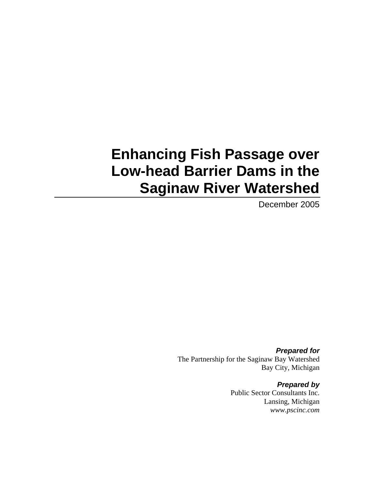# **Enhancing Fish Passage over Low-head Barrier Dams in the Saginaw River Watershed**

December 2005

*Prepared for*  The Partnership for the Saginaw Bay Watershed Bay City, Michigan

> *Prepared by*  Public Sector Consultants Inc. Lansing, Michigan *www.pscinc.com*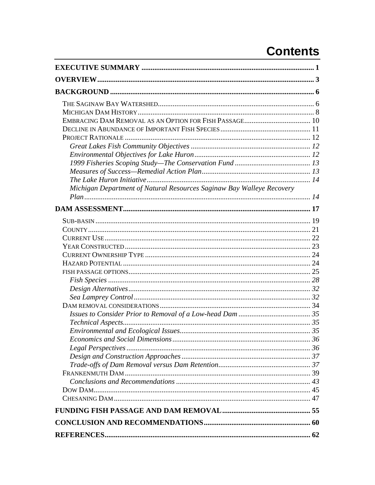# **Contents**

| Michigan Department of Natural Resources Saginaw Bay Walleye Recovery |  |
|-----------------------------------------------------------------------|--|
|                                                                       |  |
|                                                                       |  |
|                                                                       |  |
|                                                                       |  |
|                                                                       |  |
|                                                                       |  |
|                                                                       |  |
|                                                                       |  |
|                                                                       |  |
|                                                                       |  |
|                                                                       |  |
|                                                                       |  |
|                                                                       |  |
|                                                                       |  |
|                                                                       |  |
|                                                                       |  |
|                                                                       |  |
|                                                                       |  |
|                                                                       |  |
|                                                                       |  |
|                                                                       |  |
|                                                                       |  |
|                                                                       |  |
|                                                                       |  |
|                                                                       |  |
|                                                                       |  |
|                                                                       |  |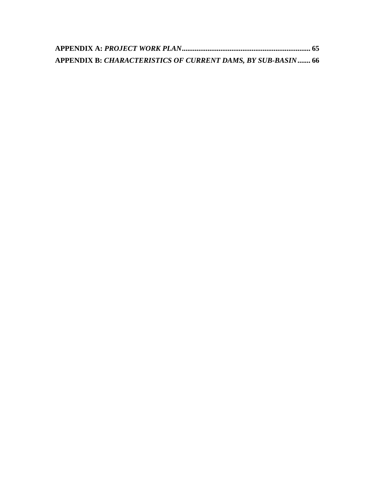| <b>APPENDIX B: CHARACTERISTICS OF CURRENT DAMS, BY SUB-BASIN 66</b> |  |
|---------------------------------------------------------------------|--|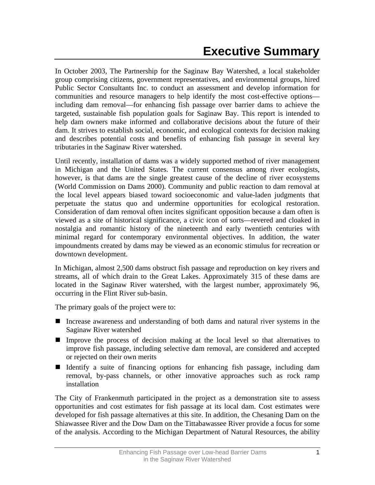<span id="page-4-0"></span>In October 2003, The Partnership for the Saginaw Bay Watershed, a local stakeholder group comprising citizens, government representatives, and environmental groups, hired Public Sector Consultants Inc. to conduct an assessment and develop information for communities and resource managers to help identify the most cost-effective options including dam removal—for enhancing fish passage over barrier dams to achieve the targeted, sustainable fish population goals for Saginaw Bay. This report is intended to help dam owners make informed and collaborative decisions about the future of their dam. It strives to establish social, economic, and ecological contexts for decision making and describes potential costs and benefits of enhancing fish passage in several key tributaries in the Saginaw River watershed.

Until recently, installation of dams was a widely supported method of river management in Michigan and the United States. The current consensus among river ecologists, however, is that dams are the single greatest cause of the decline of river ecosystems (World Commission on Dams 2000). Community and public reaction to dam removal at the local level appears biased toward socioeconomic and value-laden judgments that perpetuate the status quo and undermine opportunities for ecological restoration. Consideration of dam removal often incites significant opposition because a dam often is viewed as a site of historical significance, a civic icon of sorts—revered and cloaked in nostalgia and romantic history of the nineteenth and early twentieth centuries with minimal regard for contemporary environmental objectives. In addition, the water impoundments created by dams may be viewed as an economic stimulus for recreation or downtown development.

In Michigan, almost 2,500 dams obstruct fish passage and reproduction on key rivers and streams, all of which drain to the Great Lakes. Approximately 315 of these dams are located in the Saginaw River watershed, with the largest number, approximately 96, occurring in the Flint River sub-basin.

The primary goals of the project were to:

- Increase awareness and understanding of both dams and natural river systems in the Saginaw River watershed
- Improve the process of decision making at the local level so that alternatives to improve fish passage, including selective dam removal, are considered and accepted or rejected on their own merits
- Identify a suite of financing options for enhancing fish passage, including dam removal, by-pass channels, or other innovative approaches such as rock ramp installation

The City of Frankenmuth participated in the project as a demonstration site to assess opportunities and cost estimates for fish passage at its local dam. Cost estimates were developed for fish passage alternatives at this site. In addition, the Chesaning Dam on the Shiawassee River and the Dow Dam on the Tittabawassee River provide a focus for some of the analysis. According to the Michigan Department of Natural Resources, the ability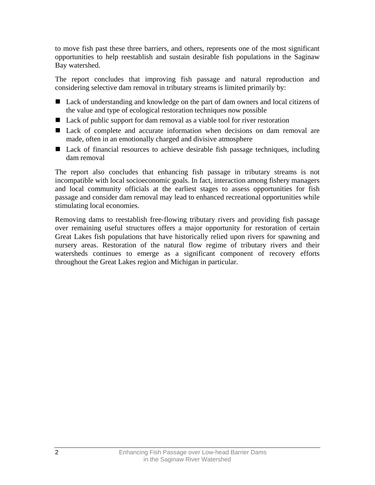to move fish past these three barriers, and others, represents one of the most significant opportunities to help reestablish and sustain desirable fish populations in the Saginaw Bay watershed.

The report concludes that improving fish passage and natural reproduction and considering selective dam removal in tributary streams is limited primarily by:

- Lack of understanding and knowledge on the part of dam owners and local citizens of the value and type of ecological restoration techniques now possible
- Lack of public support for dam removal as a viable tool for river restoration
- Lack of complete and accurate information when decisions on dam removal are made, often in an emotionally charged and divisive atmosphere
- Lack of financial resources to achieve desirable fish passage techniques, including dam removal

The report also concludes that enhancing fish passage in tributary streams is not incompatible with local socioeconomic goals. In fact, interaction among fishery managers and local community officials at the earliest stages to assess opportunities for fish passage and consider dam removal may lead to enhanced recreational opportunities while stimulating local economies.

Removing dams to reestablish free-flowing tributary rivers and providing fish passage over remaining useful structures offers a major opportunity for restoration of certain Great Lakes fish populations that have historically relied upon rivers for spawning and nursery areas. Restoration of the natural flow regime of tributary rivers and their watersheds continues to emerge as a significant component of recovery efforts throughout the Great Lakes region and Michigan in particular.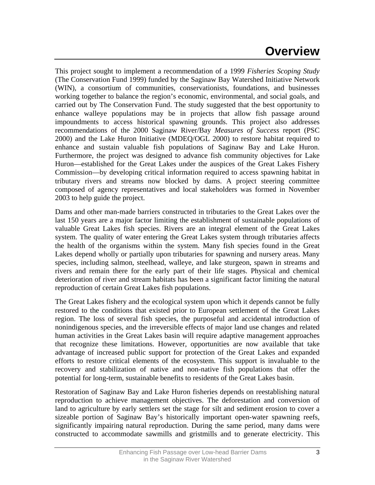# **Overview**

<span id="page-6-0"></span>This project sought to implement a recommendation of a 1999 *Fisheries Scoping Study* (The Conservation Fund 1999) funded by the Saginaw Bay Watershed Initiative Network (WIN), a consortium of communities, conservationists, foundations, and businesses working together to balance the region's economic, environmental, and social goals, and carried out by The Conservation Fund. The study suggested that the best opportunity to enhance walleye populations may be in projects that allow fish passage around impoundments to access historical spawning grounds. This project also addresses recommendations of the 2000 Saginaw River/Bay *Measures of Success* report (PSC 2000) and the Lake Huron Initiative (MDEQ/OGL 2000) to restore habitat required to enhance and sustain valuable fish populations of Saginaw Bay and Lake Huron. Furthermore, the project was designed to advance fish community objectives for Lake Huron—established for the Great Lakes under the auspices of the Great Lakes Fishery Commission—by developing critical information required to access spawning habitat in tributary rivers and streams now blocked by dams. A project steering committee composed of agency representatives and local stakeholders was formed in November 2003 to help guide the project.

Dams and other man-made barriers constructed in tributaries to the Great Lakes over the last 150 years are a major factor limiting the establishment of sustainable populations of valuable Great Lakes fish species. Rivers are an integral element of the Great Lakes system. The quality of water entering the Great Lakes system through tributaries affects the health of the organisms within the system. Many fish species found in the Great Lakes depend wholly or partially upon tributaries for spawning and nursery areas. Many species, including salmon, steelhead, walleye, and lake sturgeon, spawn in streams and rivers and remain there for the early part of their life stages. Physical and chemical deterioration of river and stream habitats has been a significant factor limiting the natural reproduction of certain Great Lakes fish populations.

The Great Lakes fishery and the ecological system upon which it depends cannot be fully restored to the conditions that existed prior to European settlement of the Great Lakes region. The loss of several fish species, the purposeful and accidental introduction of nonindigenous species, and the irreversible effects of major land use changes and related human activities in the Great Lakes basin will require adaptive management approaches that recognize these limitations. However, opportunities are now available that take advantage of increased public support for protection of the Great Lakes and expanded efforts to restore critical elements of the ecosystem. This support is invaluable to the recovery and stabilization of native and non-native fish populations that offer the potential for long-term, sustainable benefits to residents of the Great Lakes basin.

Restoration of Saginaw Bay and Lake Huron fisheries depends on reestablishing natural reproduction to achieve management objectives. The deforestation and conversion of land to agriculture by early settlers set the stage for silt and sediment erosion to cover a sizeable portion of Saginaw Bay's historically important open-water spawning reefs, significantly impairing natural reproduction. During the same period, many dams were constructed to accommodate sawmills and gristmills and to generate electricity. This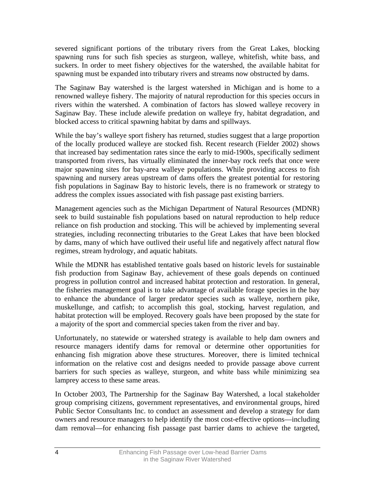severed significant portions of the tributary rivers from the Great Lakes, blocking spawning runs for such fish species as sturgeon, walleye, whitefish, white bass, and suckers. In order to meet fishery objectives for the watershed, the available habitat for spawning must be expanded into tributary rivers and streams now obstructed by dams.

The Saginaw Bay watershed is the largest watershed in Michigan and is home to a renowned walleye fishery. The majority of natural reproduction for this species occurs in rivers within the watershed. A combination of factors has slowed walleye recovery in Saginaw Bay. These include alewife predation on walleye fry, habitat degradation, and blocked access to critical spawning habitat by dams and spillways.

While the bay's walleye sport fishery has returned, studies suggest that a large proportion of the locally produced walleye are stocked fish. Recent research (Fielder 2002) shows that increased bay sedimentation rates since the early to mid-1900s, specifically sediment transported from rivers, has virtually eliminated the inner-bay rock reefs that once were major spawning sites for bay-area walleye populations. While providing access to fish spawning and nursery areas upstream of dams offers the greatest potential for restoring fish populations in Saginaw Bay to historic levels, there is no framework or strategy to address the complex issues associated with fish passage past existing barriers.

Management agencies such as the Michigan Department of Natural Resources (MDNR) seek to build sustainable fish populations based on natural reproduction to help reduce reliance on fish production and stocking. This will be achieved by implementing several strategies, including reconnecting tributaries to the Great Lakes that have been blocked by dams, many of which have outlived their useful life and negatively affect natural flow regimes, stream hydrology, and aquatic habitats.

While the MDNR has established tentative goals based on historic levels for sustainable fish production from Saginaw Bay, achievement of these goals depends on continued progress in pollution control and increased habitat protection and restoration. In general, the fisheries management goal is to take advantage of available forage species in the bay to enhance the abundance of larger predator species such as walleye, northern pike, muskellunge, and catfish; to accomplish this goal, stocking, harvest regulation, and habitat protection will be employed. Recovery goals have been proposed by the state for a majority of the sport and commercial species taken from the river and bay.

Unfortunately, no statewide or watershed strategy is available to help dam owners and resource managers identify dams for removal or determine other opportunities for enhancing fish migration above these structures. Moreover, there is limited technical information on the relative cost and designs needed to provide passage above current barriers for such species as walleye, sturgeon, and white bass while minimizing sea lamprey access to these same areas.

In October 2003, The Partnership for the Saginaw Bay Watershed, a local stakeholder group comprising citizens, government representatives, and environmental groups, hired Public Sector Consultants Inc. to conduct an assessment and develop a strategy for dam owners and resource managers to help identify the most cost-effective options—including dam removal—for enhancing fish passage past barrier dams to achieve the targeted,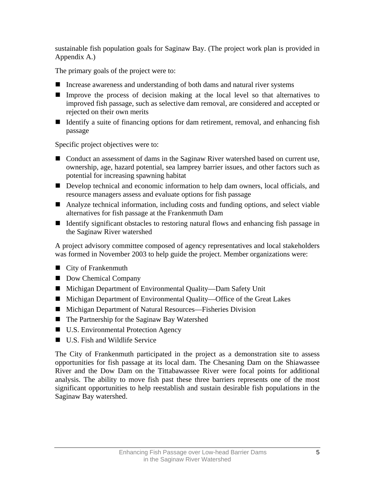sustainable fish population goals for Saginaw Bay. (The project work plan is provided in Appendix A.)

The primary goals of the project were to:

- Increase awareness and understanding of both dams and natural river systems
- Improve the process of decision making at the local level so that alternatives to improved fish passage, such as selective dam removal, are considered and accepted or rejected on their own merits
- Identify a suite of financing options for dam retirement, removal, and enhancing fish passage

Specific project objectives were to:

- Conduct an assessment of dams in the Saginaw River watershed based on current use, ownership, age, hazard potential, sea lamprey barrier issues, and other factors such as potential for increasing spawning habitat
- Develop technical and economic information to help dam owners, local officials, and resource managers assess and evaluate options for fish passage
- Analyze technical information, including costs and funding options, and select viable alternatives for fish passage at the Frankenmuth Dam
- If Identify significant obstacles to restoring natural flows and enhancing fish passage in the Saginaw River watershed

A project advisory committee composed of agency representatives and local stakeholders was formed in November 2003 to help guide the project. Member organizations were:

- City of Frankenmuth
- Dow Chemical Company
- Michigan Department of Environmental Quality—Dam Safety Unit
- Michigan Department of Environmental Quality—Office of the Great Lakes
- Michigan Department of Natural Resources—Fisheries Division
- The Partnership for the Saginaw Bay Watershed
- U.S. Environmental Protection Agency
- **U.S.** Fish and Wildlife Service

The City of Frankenmuth participated in the project as a demonstration site to assess opportunities for fish passage at its local dam. The Chesaning Dam on the Shiawassee River and the Dow Dam on the Tittabawassee River were focal points for additional analysis. The ability to move fish past these three barriers represents one of the most significant opportunities to help reestablish and sustain desirable fish populations in the Saginaw Bay watershed.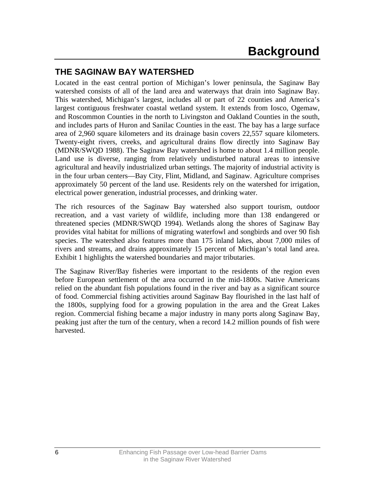## <span id="page-9-0"></span>**THE SAGINAW BAY WATERSHED**

Located in the east central portion of Michigan's lower peninsula, the Saginaw Bay watershed consists of all of the land area and waterways that drain into Saginaw Bay. This watershed, Michigan's largest, includes all or part of 22 counties and America's largest contiguous freshwater coastal wetland system. It extends from Iosco, Ogemaw, and Roscommon Counties in the north to Livingston and Oakland Counties in the south, and includes parts of Huron and Sanilac Counties in the east. The bay has a large surface area of 2,960 square kilometers and its drainage basin covers 22,557 square kilometers. Twenty-eight rivers, creeks, and agricultural drains flow directly into Saginaw Bay (MDNR/SWQD 1988). The Saginaw Bay watershed is home to about 1.4 million people. Land use is diverse, ranging from relatively undisturbed natural areas to intensive agricultural and heavily industrialized urban settings. The majority of industrial activity is in the four urban centers—Bay City, Flint, Midland, and Saginaw. Agriculture comprises approximately 50 percent of the land use. Residents rely on the watershed for irrigation, electrical power generation, industrial processes, and drinking water.

The rich resources of the Saginaw Bay watershed also support tourism, outdoor recreation, and a vast variety of wildlife, including more than 138 endangered or threatened species (MDNR/SWQD 1994). Wetlands along the shores of Saginaw Bay provides vital habitat for millions of migrating waterfowl and songbirds and over 90 fish species. The watershed also features more than 175 inland lakes, about 7,000 miles of rivers and streams, and drains approximately 15 percent of Michigan's total land area. Exhibit 1 highlights the watershed boundaries and major tributaries.

The Saginaw River/Bay fisheries were important to the residents of the region even before European settlement of the area occurred in the mid-1800s. Native Americans relied on the abundant fish populations found in the river and bay as a significant source of food. Commercial fishing activities around Saginaw Bay flourished in the last half of the 1800s, supplying food for a growing population in the area and the Great Lakes region. Commercial fishing became a major industry in many ports along Saginaw Bay, peaking just after the turn of the century, when a record 14.2 million pounds of fish were harvested.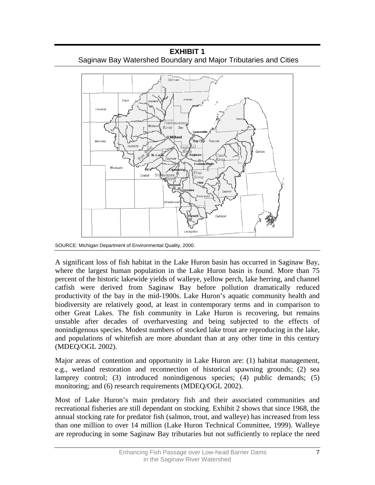

**EXHIBIT 1**  Saginaw Bay Watershed Boundary and Major Tributaries and Cities

SOURCE: Michigan Department of Environmental Quality, 2000.

A significant loss of fish habitat in the Lake Huron basin has occurred in Saginaw Bay, where the largest human population in the Lake Huron basin is found. More than 75 percent of the historic lakewide yields of walleye, yellow perch, lake herring, and channel catfish were derived from Saginaw Bay before pollution dramatically reduced productivity of the bay in the mid-1900s. Lake Huron's aquatic community health and biodiversity are relatively good, at least in contemporary terms and in comparison to other Great Lakes. The fish community in Lake Huron is recovering, but remains unstable after decades of overharvesting and being subjected to the effects of nonindigenous species. Modest numbers of stocked lake trout are reproducing in the lake, and populations of whitefish are more abundant than at any other time in this century (MDEQ/OGL 2002).

Major areas of contention and opportunity in Lake Huron are: (1) habitat management, e.g., wetland restoration and reconnection of historical spawning grounds; (2) sea lamprey control; (3) introduced nonindigenous species; (4) public demands; (5) monitoring; and (6) research requirements (MDEQ/OGL 2002).

Most of Lake Huron's main predatory fish and their associated communities and recreational fisheries are still dependant on stocking. Exhibit 2 shows that since 1968, the annual stocking rate for predator fish (salmon, trout, and walleye) has increased from less than one million to over 14 million (Lake Huron Technical Committee, 1999). Walleye are reproducing in some Saginaw Bay tributaries but not sufficiently to replace the need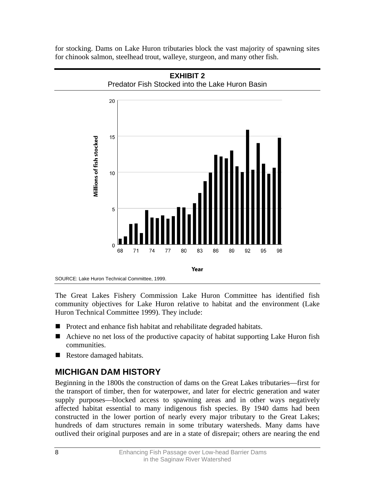<span id="page-11-0"></span>for stocking. Dams on Lake Huron tributaries block the vast majority of spawning sites for chinook salmon, steelhead trout, walleye, sturgeon, and many other fish.



The Great Lakes Fishery Commission Lake Huron Committee has identified fish community objectives for Lake Huron relative to habitat and the environment (Lake Huron Technical Committee 1999). They include:

- Protect and enhance fish habitat and rehabilitate degraded habitats.
- Achieve no net loss of the productive capacity of habitat supporting Lake Huron fish communities.
- Restore damaged habitats.

# **MICHIGAN DAM HISTORY**

Beginning in the 1800s the construction of dams on the Great Lakes tributaries—first for the transport of timber, then for waterpower, and later for electric generation and water supply purposes—blocked access to spawning areas and in other ways negatively affected habitat essential to many indigenous fish species. By 1940 dams had been constructed in the lower portion of nearly every major tributary to the Great Lakes; hundreds of dam structures remain in some tributary watersheds. Many dams have outlived their original purposes and are in a state of disrepair; others are nearing the end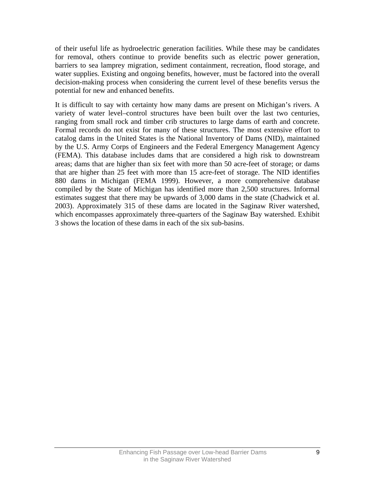of their useful life as hydroelectric generation facilities. While these may be candidates for removal, others continue to provide benefits such as electric power generation, barriers to sea lamprey migration, sediment containment, recreation, flood storage, and water supplies. Existing and ongoing benefits, however, must be factored into the overall decision-making process when considering the current level of these benefits versus the potential for new and enhanced benefits.

It is difficult to say with certainty how many dams are present on Michigan's rivers. A variety of water level–control structures have been built over the last two centuries, ranging from small rock and timber crib structures to large dams of earth and concrete. Formal records do not exist for many of these structures. The most extensive effort to catalog dams in the United States is the National Inventory of Dams (NID), maintained by the U.S. Army Corps of Engineers and the Federal Emergency Management Agency (FEMA). This database includes dams that are considered a high risk to downstream areas; dams that are higher than six feet with more than 50 acre-feet of storage; or dams that are higher than 25 feet with more than 15 acre-feet of storage. The NID identifies 880 dams in Michigan (FEMA 1999). However, a more comprehensive database compiled by the State of Michigan has identified more than 2,500 structures. Informal estimates suggest that there may be upwards of 3,000 dams in the state (Chadwick et al. 2003). Approximately 315 of these dams are located in the Saginaw River watershed, which encompasses approximately three-quarters of the Saginaw Bay watershed. Exhibit 3 shows the location of these dams in each of the six sub-basins.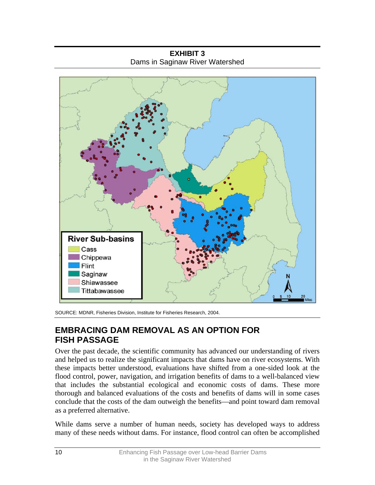<span id="page-13-0"></span>**River Sub-basins** Cass Chippewa Flint Saginaw Shiawassee Tittabawassee

**EXHIBIT 3**  Dams in Saginaw River Watershed

SOURCE: MDNR, Fisheries Division, Institute for Fisheries Research, 2004.

## **EMBRACING DAM REMOVAL AS AN OPTION FOR FISH PASSAGE**

Over the past decade, the scientific community has advanced our understanding of rivers and helped us to realize the significant impacts that dams have on river ecosystems. With these impacts better understood, evaluations have shifted from a one-sided look at the flood control, power, navigation, and irrigation benefits of dams to a well-balanced view that includes the substantial ecological and economic costs of dams. These more thorough and balanced evaluations of the costs and benefits of dams will in some cases conclude that the costs of the dam outweigh the benefits—and point toward dam removal as a preferred alternative.

While dams serve a number of human needs, society has developed ways to address many of these needs without dams. For instance, flood control can often be accomplished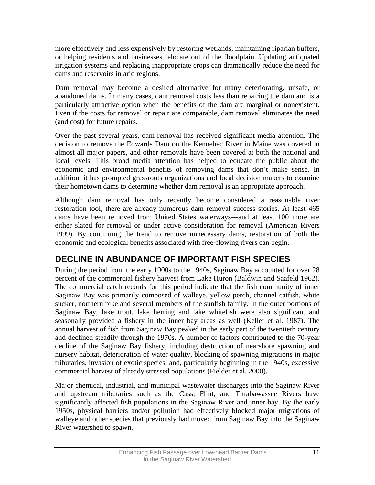<span id="page-14-0"></span>more effectively and less expensively by restoring wetlands, maintaining riparian buffers, or helping residents and businesses relocate out of the floodplain. Updating antiquated irrigation systems and replacing inappropriate crops can dramatically reduce the need for dams and reservoirs in arid regions.

Dam removal may become a desired alternative for many deteriorating, unsafe, or abandoned dams. In many cases, dam removal costs less than repairing the dam and is a particularly attractive option when the benefits of the dam are marginal or nonexistent. Even if the costs for removal or repair are comparable, dam removal eliminates the need (and cost) for future repairs.

Over the past several years, dam removal has received significant media attention. The decision to remove the Edwards Dam on the Kennebec River in Maine was covered in almost all major papers, and other removals have been covered at both the national and local levels. This broad media attention has helped to educate the public about the economic and environmental benefits of removing dams that don't make sense. In addition, it has prompted grassroots organizations and local decision makers to examine their hometown dams to determine whether dam removal is an appropriate approach.

Although dam removal has only recently become considered a reasonable river restoration tool, there are already numerous dam removal success stories. At least 465 dams have been removed from United States waterways—and at least 100 more are either slated for removal or under active consideration for removal (American Rivers 1999). By continuing the trend to remove unnecessary dams, restoration of both the economic and ecological benefits associated with free-flowing rivers can begin.

## **DECLINE IN ABUNDANCE OF IMPORTANT FISH SPECIES**

During the period from the early 1900s to the 1940s, Saginaw Bay accounted for over 28 percent of the commercial fishery harvest from Lake Huron (Baldwin and Saafeld 1962). The commercial catch records for this period indicate that the fish community of inner Saginaw Bay was primarily composed of walleye, yellow perch, channel catfish, white sucker, northern pike and several members of the sunfish family. In the outer portions of Saginaw Bay, lake trout, lake herring and lake whitefish were also significant and seasonally provided a fishery in the inner bay areas as well (Keller et al. 1987). The annual harvest of fish from Saginaw Bay peaked in the early part of the twentieth century and declined steadily through the 1970s. A number of factors contributed to the 70-year decline of the Saginaw Bay fishery, including destruction of nearshore spawning and nursery habitat, deterioration of water quality, blocking of spawning migrations in major tributaries, invasion of exotic species, and, particularly beginning in the 1940s, excessive commercial harvest of already stressed populations (Fielder et al. 2000).

Major chemical, industrial, and municipal wastewater discharges into the Saginaw River and upstream tributaries such as the Cass, Flint, and Tittabawassee Rivers have significantly affected fish populations in the Saginaw River and inner bay. By the early 1950s, physical barriers and/or pollution had effectively blocked major migrations of walleye and other species that previously had moved from Saginaw Bay into the Saginaw River watershed to spawn.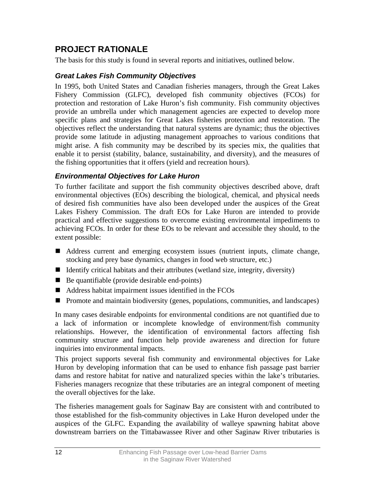## <span id="page-15-0"></span>**PROJECT RATIONALE**

The basis for this study is found in several reports and initiatives, outlined below.

#### *Great Lakes Fish Community Objectives*

In 1995, both United States and Canadian fisheries managers, through the Great Lakes Fishery Commission (GLFC), developed fish community objectives (FCOs) for protection and restoration of Lake Huron's fish community. Fish community objectives provide an umbrella under which management agencies are expected to develop more specific plans and strategies for Great Lakes fisheries protection and restoration. The objectives reflect the understanding that natural systems are dynamic; thus the objectives provide some latitude in adjusting management approaches to various conditions that might arise. A fish community may be described by its species mix, the qualities that enable it to persist (stability, balance, sustainability, and diversity), and the measures of the fishing opportunities that it offers (yield and recreation hours).

#### *Environmental Objectives for Lake Huron*

To further facilitate and support the fish community objectives described above, draft environmental objectives (EOs) describing the biological, chemical, and physical needs of desired fish communities have also been developed under the auspices of the Great Lakes Fishery Commission. The draft EOs for Lake Huron are intended to provide practical and effective suggestions to overcome existing environmental impediments to achieving FCOs. In order for these EOs to be relevant and accessible they should, to the extent possible:

- Address current and emerging ecosystem issues (nutrient inputs, climate change, stocking and prey base dynamics, changes in food web structure, etc.)
- If Identify critical habitats and their attributes (wetland size, integrity, diversity)
- $\blacksquare$  Be quantifiable (provide desirable end-points)
- Address habitat impairment issues identified in the FCOs
- **Promote and maintain biodiversity (genes, populations, communities, and landscapes)**

In many cases desirable endpoints for environmental conditions are not quantified due to a lack of information or incomplete knowledge of environment/fish community relationships. However, the identification of environmental factors affecting fish community structure and function help provide awareness and direction for future inquiries into environmental impacts.

This project supports several fish community and environmental objectives for Lake Huron by developing information that can be used to enhance fish passage past barrier dams and restore habitat for native and naturalized species within the lake's tributaries. Fisheries managers recognize that these tributaries are an integral component of meeting the overall objectives for the lake.

The fisheries management goals for Saginaw Bay are consistent with and contributed to those established for the fish-community objectives in Lake Huron developed under the auspices of the GLFC. Expanding the availability of walleye spawning habitat above downstream barriers on the Tittabawassee River and other Saginaw River tributaries is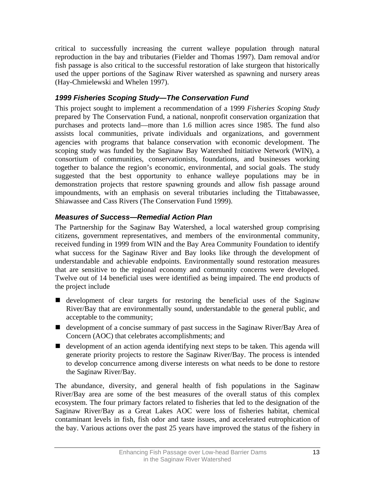<span id="page-16-0"></span>critical to successfully increasing the current walleye population through natural reproduction in the bay and tributaries (Fielder and Thomas 1997). Dam removal and/or fish passage is also critical to the successful restoration of lake sturgeon that historically used the upper portions of the Saginaw River watershed as spawning and nursery areas (Hay-Chmielewski and Whelen 1997).

### *1999 Fisheries Scoping Study—The Conservation Fund*

This project sought to implement a recommendation of a 1999 *Fisheries Scoping Study* prepared by The Conservation Fund, a national, nonprofit conservation organization that purchases and protects land—more than 1.6 million acres since 1985. The fund also assists local communities, private individuals and organizations, and government agencies with programs that balance conservation with economic development. The scoping study was funded by the Saginaw Bay Watershed Initiative Network (WIN), a consortium of communities, conservationists, foundations, and businesses working together to balance the region's economic, environmental, and social goals. The study suggested that the best opportunity to enhance walleye populations may be in demonstration projects that restore spawning grounds and allow fish passage around impoundments, with an emphasis on several tributaries including the Tittabawassee, Shiawassee and Cass Rivers (The Conservation Fund 1999).

### *Measures of Success—Remedial Action Plan*

The Partnership for the Saginaw Bay Watershed, a local watershed group comprising citizens, government representatives, and members of the environmental community, received funding in 1999 from WIN and the Bay Area Community Foundation to identify what success for the Saginaw River and Bay looks like through the development of understandable and achievable endpoints. Environmentally sound restoration measures that are sensitive to the regional economy and community concerns were developed. Twelve out of 14 beneficial uses were identified as being impaired. The end products of the project include

- development of clear targets for restoring the beneficial uses of the Saginaw River/Bay that are environmentally sound, understandable to the general public, and acceptable to the community;
- development of a concise summary of past success in the Saginaw River/Bay Area of Concern (AOC) that celebrates accomplishments; and
- development of an action agenda identifying next steps to be taken. This agenda will generate priority projects to restore the Saginaw River/Bay. The process is intended to develop concurrence among diverse interests on what needs to be done to restore the Saginaw River/Bay.

The abundance, diversity, and general health of fish populations in the Saginaw River/Bay area are some of the best measures of the overall status of this complex ecosystem. The four primary factors related to fisheries that led to the designation of the Saginaw River/Bay as a Great Lakes AOC were loss of fisheries habitat, chemical contaminant levels in fish, fish odor and taste issues, and accelerated eutrophication of the bay. Various actions over the past 25 years have improved the status of the fishery in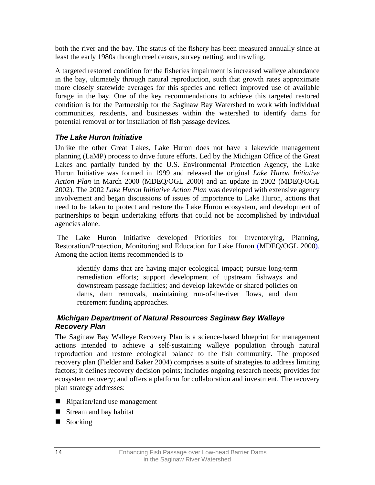<span id="page-17-0"></span>both the river and the bay. The status of the fishery has been measured annually since at least the early 1980s through creel census, survey netting, and trawling.

A targeted restored condition for the fisheries impairment is increased walleye abundance in the bay, ultimately through natural reproduction, such that growth rates approximate more closely statewide averages for this species and reflect improved use of available forage in the bay. One of the key recommendations to achieve this targeted restored condition is for the Partnership for the Saginaw Bay Watershed to work with individual communities, residents, and businesses within the watershed to identify dams for potential removal or for installation of fish passage devices.

## *The Lake Huron Initiative*

Unlike the other Great Lakes, Lake Huron does not have a lakewide management planning (LaMP) process to drive future efforts. Led by the Michigan Office of the Great Lakes and partially funded by the U.S. Environmental Protection Agency, the Lake Huron Initiative was formed in 1999 and released the original *Lake Huron Initiative Action Plan* in March 2000 (MDEQ/OGL 2000) and an update in 2002 (MDEQ/OGL 2002). The 2002 *Lake Huron Initiative Action Plan* was developed with extensive agency involvement and began discussions of issues of importance to Lake Huron, actions that need to be taken to protect and restore the Lake Huron ecosystem, and development of partnerships to begin undertaking efforts that could not be accomplished by individual agencies alone.

The Lake Huron Initiative developed Priorities for Inventorying, Planning, Restoration/Protection, Monitoring and Education for Lake Huron (MDEQ/OGL 2000). Among the action items recommended is to

identify dams that are having major ecological impact; pursue long-term remediation efforts; support development of upstream fishways and downstream passage facilities; and develop lakewide or shared policies on dams, dam removals, maintaining run-of-the-river flows, and dam retirement funding approaches.

#### *Michigan Department of Natural Resources Saginaw Bay Walleye Recovery Plan*

The Saginaw Bay Walleye Recovery Plan is a science-based blueprint for management actions intended to achieve a self-sustaining walleye population through natural reproduction and restore ecological balance to the fish community. The proposed recovery plan (Fielder and Baker 2004) comprises a suite of strategies to address limiting factors; it defines recovery decision points; includes ongoing research needs; provides for ecosystem recovery; and offers a platform for collaboration and investment. The recovery plan strategy addresses:

- Riparian/land use management
- Stream and bay habitat
- Stocking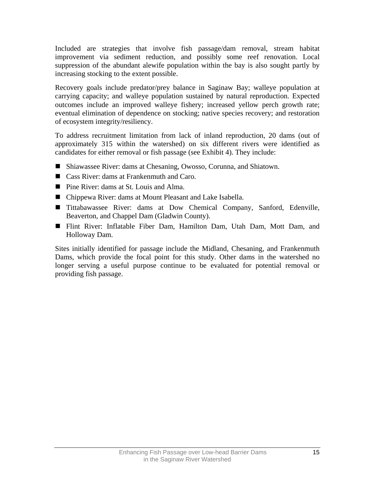Included are strategies that involve fish passage/dam removal, stream habitat improvement via sediment reduction, and possibly some reef renovation. Local suppression of the abundant alewife population within the bay is also sought partly by increasing stocking to the extent possible.

Recovery goals include predator/prey balance in Saginaw Bay; walleye population at carrying capacity; and walleye population sustained by natural reproduction. Expected outcomes include an improved walleye fishery; increased yellow perch growth rate; eventual elimination of dependence on stocking; native species recovery; and restoration of ecosystem integrity/resiliency.

To address recruitment limitation from lack of inland reproduction, 20 dams (out of approximately 315 within the watershed) on six different rivers were identified as candidates for either removal or fish passage (see Exhibit 4). They include:

- Shiawassee River: dams at Chesaning, Owosso, Corunna, and Shiatown.
- Cass River: dams at Frankenmuth and Caro.
- Pine River: dams at St. Louis and Alma.
- Chippewa River: dams at Mount Pleasant and Lake Isabella.
- Tittabawassee River: dams at Dow Chemical Company, Sanford, Edenville, Beaverton, and Chappel Dam (Gladwin County).
- Flint River: Inflatable Fiber Dam, Hamilton Dam, Utah Dam, Mott Dam, and Holloway Dam.

Sites initially identified for passage include the Midland, Chesaning, and Frankenmuth Dams, which provide the focal point for this study. Other dams in the watershed no longer serving a useful purpose continue to be evaluated for potential removal or providing fish passage.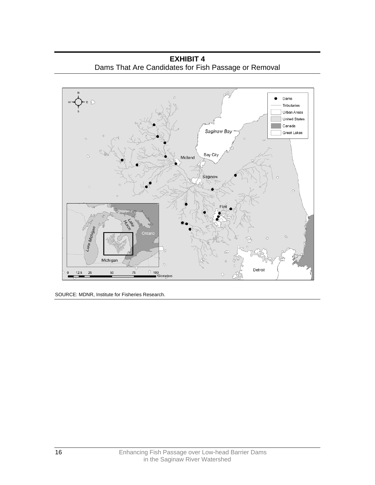**EXHIBIT 4**  Dams That Are Candidates for Fish Passage or Removal



SOURCE: MDNR, Institute for Fisheries Research.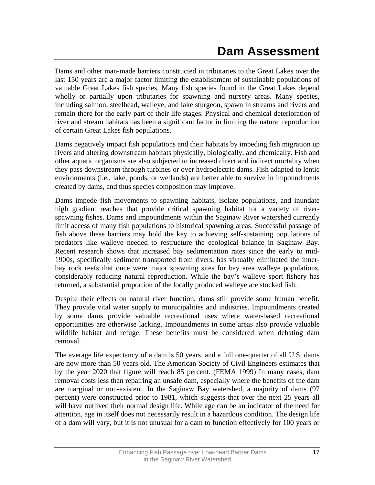<span id="page-20-0"></span>Dams and other man-made barriers constructed in tributaries to the Great Lakes over the last 150 years are a major factor limiting the establishment of sustainable populations of valuable Great Lakes fish species. Many fish species found in the Great Lakes depend wholly or partially upon tributaries for spawning and nursery areas. Many species, including salmon, steelhead, walleye, and lake sturgeon, spawn in streams and rivers and remain there for the early part of their life stages. Physical and chemical deterioration of river and stream habitats has been a significant factor in limiting the natural reproduction of certain Great Lakes fish populations.

Dams negatively impact fish populations and their habitats by impeding fish migration up rivers and altering downstream habitats physically, biologically, and chemically. Fish and other aquatic organisms are also subjected to increased direct and indirect mortality when they pass downstream through turbines or over hydroelectric dams. Fish adapted to lentic environments (i.e., lake, ponds, or wetlands) are better able to survive in impoundments created by dams, and thus species composition may improve.

Dams impede fish movements to spawning habitats, isolate populations, and inundate high gradient reaches that provide critical spawning habitat for a variety of riverspawning fishes. Dams and impoundments within the Saginaw River watershed currently limit access of many fish populations to historical spawning areas. Successful passage of fish above these barriers may hold the key to achieving self-sustaining populations of predators like walleye needed to restructure the ecological balance in Saginaw Bay. Recent research shows that increased bay sedimentation rates since the early to mid-1900s, specifically sediment transported from rivers, has virtually eliminated the innerbay rock reefs that once were major spawning sites for bay area walleye populations, considerably reducing natural reproduction. While the bay's walleye sport fishery has returned, a substantial proportion of the locally produced walleye are stocked fish.

Despite their effects on natural river function, dams still provide some human benefit. They provide vital water supply to municipalities and industries. Impoundments created by some dams provide valuable recreational uses where water-based recreational opportunities are otherwise lacking. Impoundments in some areas also provide valuable wildlife habitat and refuge. These benefits must be considered when debating dam removal.

The average life expectancy of a dam is 50 years, and a full one-quarter of all U.S. dams are now more than 50 years old. The American Society of Civil Engineers estimates that by the year 2020 that figure will reach 85 percent. (FEMA 1999) In many cases, dam removal costs less than repairing an unsafe dam, especially where the benefits of the dam are marginal or non-existent. In the Saginaw Bay watershed, a majority of dams (97 percent) were constructed prior to 1981, which suggests that over the next 25 years all will have outlived their normal design life. While age can be an indicator of the need for attention, age in itself does not necessarily result in a hazardous condition. The design life of a dam will vary, but it is not unusual for a dam to function effectively for 100 years or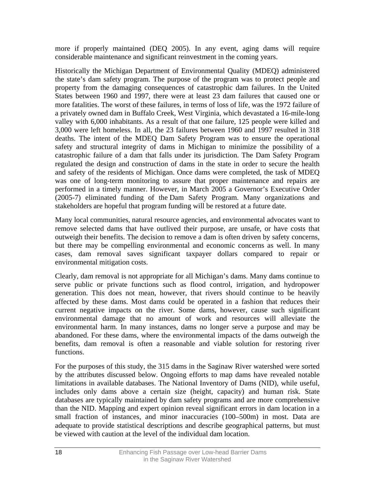more if properly maintained (DEQ 2005). In any event, aging dams will require considerable maintenance and significant reinvestment in the coming years.

Historically the Michigan Department of Environmental Quality (MDEQ) administered the state's dam safety program. The purpose of the program was to protect people and property from the damaging consequences of catastrophic dam failures. In the United States between 1960 and 1997, there were at least 23 dam failures that caused one or more fatalities. The worst of these failures, in terms of loss of life, was the 1972 failure of a privately owned dam in Buffalo Creek, West Virginia, which devastated a 16-mile-long valley with 6,000 inhabitants. As a result of that one failure, 125 people were killed and 3,000 were left homeless. In all, the 23 failures between 1960 and 1997 resulted in 318 deaths. The intent of the MDEQ Dam Safety Program was to ensure the operational safety and structural integrity of dams in Michigan to minimize the possibility of a catastrophic failure of a dam that falls under its jurisdiction. The Dam Safety Program regulated the design and construction of dams in the state in order to secure the health and safety of the residents of Michigan. Once dams were completed, the task of MDEQ was one of long-term monitoring to assure that proper maintenance and repairs are performed in a timely manner. However, in March 2005 a Governor's Executive Order (2005-7) eliminated funding of the Dam Safety Program. Many organizations and stakeholders are hopeful that program funding will be restored at a future date.

Many local communities, natural resource agencies, and environmental advocates want to remove selected dams that have outlived their purpose, are unsafe, or have costs that outweigh their benefits. The decision to remove a dam is often driven by safety concerns, but there may be compelling environmental and economic concerns as well. In many cases, dam removal saves significant taxpayer dollars compared to repair or environmental mitigation costs.

Clearly, dam removal is not appropriate for all Michigan's dams. Many dams continue to serve public or private functions such as flood control, irrigation, and hydropower generation. This does not mean, however, that rivers should continue to be heavily affected by these dams. Most dams could be operated in a fashion that reduces their current negative impacts on the river. Some dams, however, cause such significant environmental damage that no amount of work and resources will alleviate the environmental harm. In many instances, dams no longer serve a purpose and may be abandoned. For these dams, where the environmental impacts of the dams outweigh the benefits, dam removal is often a reasonable and viable solution for restoring river functions.

For the purposes of this study, the 315 dams in the Saginaw River watershed were sorted by the attributes discussed below. Ongoing efforts to map dams have revealed notable limitations in available databases. The National Inventory of Dams (NID), while useful, includes only dams above a certain size (height, capacity) and human risk. State databases are typically maintained by dam safety programs and are more comprehensive than the NID. Mapping and expert opinion reveal significant errors in dam location in a small fraction of instances, and minor inaccuracies (100–500m) in most. Data are adequate to provide statistical descriptions and describe geographical patterns, but must be viewed with caution at the level of the individual dam location.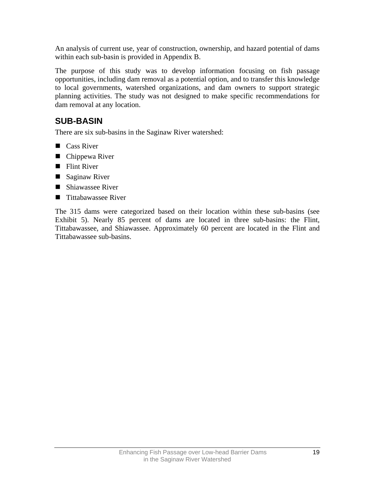<span id="page-22-0"></span>An analysis of current use, year of construction, ownership, and hazard potential of dams within each sub-basin is provided in Appendix B.

The purpose of this study was to develop information focusing on fish passage opportunities, including dam removal as a potential option, and to transfer this knowledge to local governments, watershed organizations, and dam owners to support strategic planning activities. The study was not designed to make specific recommendations for dam removal at any location.

## **SUB-BASIN**

There are six sub-basins in the Saginaw River watershed:

- Cass River
- Chippewa River
- **Flint River**
- Saginaw River
- Shiawassee River
- Tittabawassee River

The 315 dams were categorized based on their location within these sub-basins (see Exhibit 5). Nearly 85 percent of dams are located in three sub-basins: the Flint, Tittabawassee, and Shiawassee. Approximately 60 percent are located in the Flint and Tittabawassee sub-basins.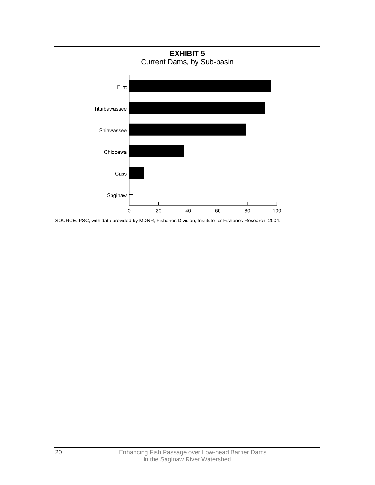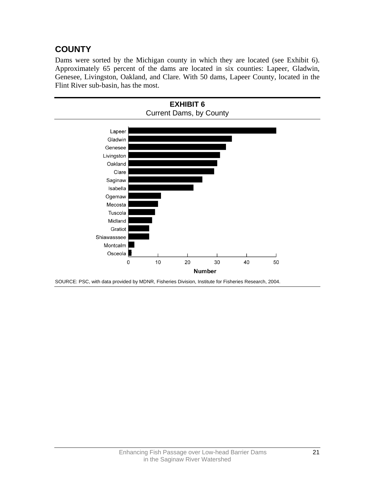## <span id="page-24-0"></span>**COUNTY**

Dams were sorted by the Michigan county in which they are located (see Exhibit 6). Approximately 65 percent of the dams are located in six counties: Lapeer, Gladwin, Genesee, Livingston, Oakland, and Clare. With 50 dams, Lapeer County, located in the Flint River sub-basin, has the most.



SOURCE: PSC, with data provided by MDNR, Fisheries Division, Institute for Fisheries Research, 2004.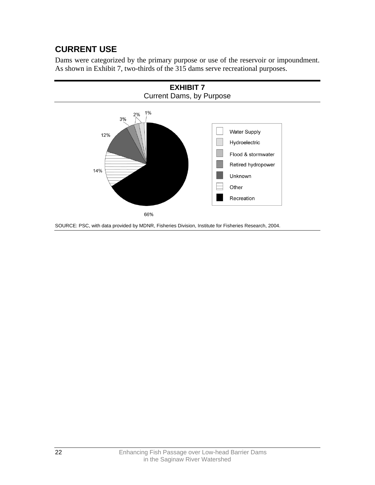## <span id="page-25-0"></span>**CURRENT USE**

Dams were categorized by the primary purpose or use of the reservoir or impoundment. As shown in Exhibit 7, two-thirds of the 315 dams serve recreational purposes.

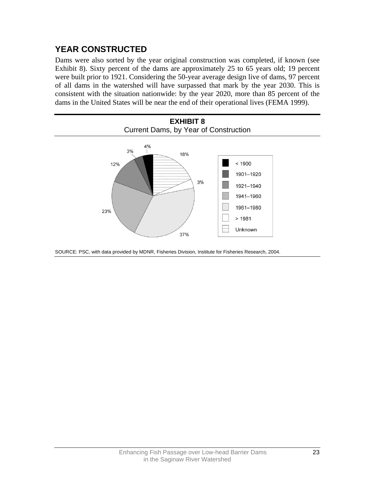## <span id="page-26-0"></span>**YEAR CONSTRUCTED**

Dams were also sorted by the year original construction was completed, if known (see Exhibit 8). Sixty percent of the dams are approximately 25 to 65 years old; 19 percent were built prior to 1921. Considering the 50-year average design live of dams, 97 percent of all dams in the watershed will have surpassed that mark by the year 2030. This is consistent with the situation nationwide: by the year 2020, more than 85 percent of the dams in the United States will be near the end of their operational lives (FEMA 1999).



SOURCE: PSC, with data provided by MDNR, Fisheries Division, Institute for Fisheries Research, 2004.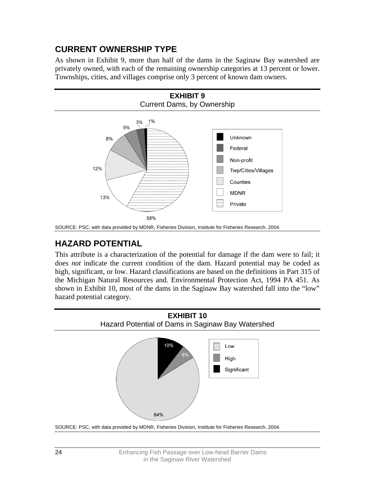## <span id="page-27-0"></span>**CURRENT OWNERSHIP TYPE**

As shown in Exhibit 9, more than half of the dams in the Saginaw Bay watershed are privately owned, with each of the remaining ownership categories at 13 percent or lower. Townships, cities, and villages comprise only 3 percent of known dam owners.



SOURCE: PSC, with data provided by MDNR, Fisheries Division, Institute for Fisheries Research, 2004.

## **HAZARD POTENTIAL**

This attribute is a characterization of the potential for damage if the dam were to fail; it does *not* indicate the current condition of the dam. Hazard potential may be coded as high, significant, or low. Hazard classifications are based on the definitions in Part 315 of the Michigan Natural Resources and. Environmental Protection Act, 1994 PA 451. As shown in Exhibit 10, most of the dams in the Saginaw Bay watershed fall into the "low" hazard potential category.

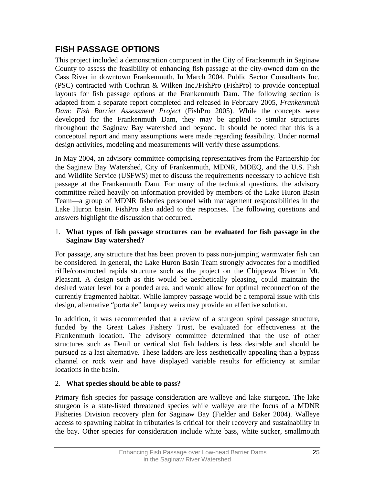## <span id="page-28-0"></span>**FISH PASSAGE OPTIONS**

This project included a demonstration component in the City of Frankenmuth in Saginaw County to assess the feasibility of enhancing fish passage at the city-owned dam on the Cass River in downtown Frankenmuth. In March 2004, Public Sector Consultants Inc. (PSC) contracted with Cochran & Wilken Inc./FishPro (FishPro) to provide conceptual layouts for fish passage options at the Frankenmuth Dam. The following section is adapted from a separate report completed and released in February 2005, *Frankenmuth Dam: Fish Barrier Assessment Project* (FishPro 2005). While the concepts were developed for the Frankenmuth Dam, they may be applied to similar structures throughout the Saginaw Bay watershed and beyond. It should be noted that this is a conceptual report and many assumptions were made regarding feasibility. Under normal design activities, modeling and measurements will verify these assumptions.

In May 2004, an advisory committee comprising representatives from the Partnership for the Saginaw Bay Watershed, City of Frankenmuth, MDNR, MDEQ, and the U.S. Fish and Wildlife Service (USFWS) met to discuss the requirements necessary to achieve fish passage at the Frankenmuth Dam. For many of the technical questions, the advisory committee relied heavily on information provided by members of the Lake Huron Basin Team—a group of MDNR fisheries personnel with management responsibilities in the Lake Huron basin. FishPro also added to the responses. The following questions and answers highlight the discussion that occurred.

#### 1. **What types of fish passage structures can be evaluated for fish passage in the Saginaw Bay watershed?**

For passage, any structure that has been proven to pass non-jumping warmwater fish can be considered. In general, the Lake Huron Basin Team strongly advocates for a modified riffle/constructed rapids structure such as the project on the Chippewa River in Mt. Pleasant. A design such as this would be aesthetically pleasing, could maintain the desired water level for a ponded area, and would allow for optimal reconnection of the currently fragmented habitat. While lamprey passage would be a temporal issue with this design, alternative "portable" lamprey weirs may provide an effective solution.

In addition, it was recommended that a review of a sturgeon spiral passage structure, funded by the Great Lakes Fishery Trust, be evaluated for effectiveness at the Frankenmuth location. The advisory committee determined that the use of other structures such as Denil or vertical slot fish ladders is less desirable and should be pursued as a last alternative. These ladders are less aesthetically appealing than a bypass channel or rock weir and have displayed variable results for efficiency at similar locations in the basin.

#### 2. **What species should be able to pass?**

Primary fish species for passage consideration are walleye and lake sturgeon. The lake sturgeon is a state-listed threatened species while walleye are the focus of a MDNR Fisheries Division recovery plan for Saginaw Bay (Fielder and Baker 2004). Walleye access to spawning habitat in tributaries is critical for their recovery and sustainability in the bay. Other species for consideration include white bass, white sucker, smallmouth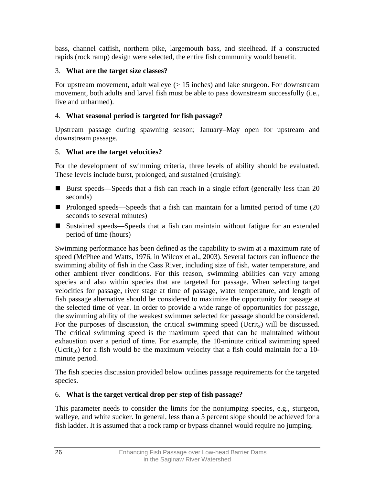bass, channel catfish, northern pike, largemouth bass, and steelhead. If a constructed rapids (rock ramp) design were selected, the entire fish community would benefit.

#### 3. **What are the target size classes?**

For upstream movement, adult walleye (> 15 inches) and lake sturgeon. For downstream movement, both adults and larval fish must be able to pass downstream successfully (i.e., live and unharmed).

#### 4. **What seasonal period is targeted for fish passage?**

Upstream passage during spawning season; January–May open for upstream and downstream passage.

#### 5. **What are the target velocities?**

For the development of swimming criteria, three levels of ability should be evaluated. These levels include burst, prolonged, and sustained (cruising):

- Burst speeds—Speeds that a fish can reach in a single effort (generally less than 20 seconds)
- Prolonged speeds—Speeds that a fish can maintain for a limited period of time (20 seconds to several minutes)
- Sustained speeds—Speeds that a fish can maintain without fatigue for an extended period of time (hours)

Swimming performance has been defined as the capability to swim at a maximum rate of speed (McPhee and Watts, 1976, in Wilcox et al., 2003). Several factors can influence the swimming ability of fish in the Cass River, including size of fish, water temperature, and other ambient river conditions. For this reason, swimming abilities can vary among species and also within species that are targeted for passage. When selecting target velocities for passage, river stage at time of passage, water temperature, and length of fish passage alternative should be considered to maximize the opportunity for passage at the selected time of year. In order to provide a wide range of opportunities for passage, the swimming ability of the weakest swimmer selected for passage should be considered. For the purposes of discussion, the critical swimming speed (Ucrit<sub>x</sub>) will be discussed. The critical swimming speed is the maximum speed that can be maintained without exhaustion over a period of time. For example, the 10-minute critical swimming speed (Ucrit<sub>10</sub>) for a fish would be the maximum velocity that a fish could maintain for a 10minute period.

The fish species discussion provided below outlines passage requirements for the targeted species.

### 6. **What is the target vertical drop per step of fish passage?**

This parameter needs to consider the limits for the nonjumping species, e.g., sturgeon, walleye, and white sucker. In general, less than a 5 percent slope should be achieved for a fish ladder. It is assumed that a rock ramp or bypass channel would require no jumping.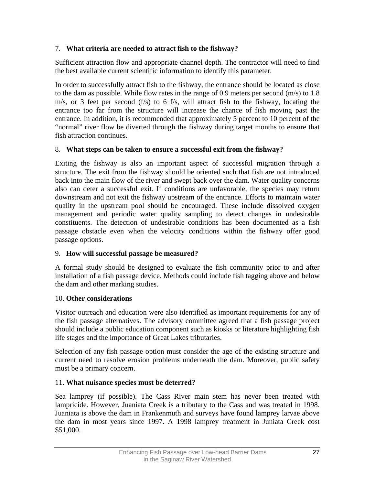#### 7. **What criteria are needed to attract fish to the fishway?**

Sufficient attraction flow and appropriate channel depth. The contractor will need to find the best available current scientific information to identify this parameter.

In order to successfully attract fish to the fishway, the entrance should be located as close to the dam as possible. While flow rates in the range of 0.9 meters per second  $(m/s)$  to 1.8 m/s, or 3 feet per second (f/s) to 6 f/s, will attract fish to the fishway, locating the entrance too far from the structure will increase the chance of fish moving past the entrance. In addition, it is recommended that approximately 5 percent to 10 percent of the "normal" river flow be diverted through the fishway during target months to ensure that fish attraction continues.

#### 8. **What steps can be taken to ensure a successful exit from the fishway?**

Exiting the fishway is also an important aspect of successful migration through a structure. The exit from the fishway should be oriented such that fish are not introduced back into the main flow of the river and swept back over the dam. Water quality concerns also can deter a successful exit. If conditions are unfavorable, the species may return downstream and not exit the fishway upstream of the entrance. Efforts to maintain water quality in the upstream pool should be encouraged. These include dissolved oxygen management and periodic water quality sampling to detect changes in undesirable constituents. The detection of undesirable conditions has been documented as a fish passage obstacle even when the velocity conditions within the fishway offer good passage options.

### 9. **How will successful passage be measured?**

A formal study should be designed to evaluate the fish community prior to and after installation of a fish passage device. Methods could include fish tagging above and below the dam and other marking studies.

### 10. **Other considerations**

Visitor outreach and education were also identified as important requirements for any of the fish passage alternatives. The advisory committee agreed that a fish passage project should include a public education component such as kiosks or literature highlighting fish life stages and the importance of Great Lakes tributaries.

Selection of any fish passage option must consider the age of the existing structure and current need to resolve erosion problems underneath the dam. Moreover, public safety must be a primary concern.

### 11. **What nuisance species must be deterred?**

Sea lamprey (if possible). The Cass River main stem has never been treated with lampricide. However, Juaniata Creek is a tributary to the Cass and was treated in 1998. Juaniata is above the dam in Frankenmuth and surveys have found lamprey larvae above the dam in most years since 1997. A 1998 lamprey treatment in Juniata Creek cost \$51,000.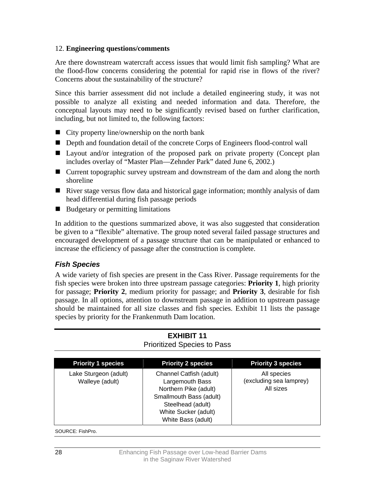#### <span id="page-31-0"></span>12. **Engineering questions/comments**

Are there downstream watercraft access issues that would limit fish sampling? What are the flood-flow concerns considering the potential for rapid rise in flows of the river? Concerns about the sustainability of the structure?

Since this barrier assessment did not include a detailed engineering study, it was not possible to analyze all existing and needed information and data. Therefore, the conceptual layouts may need to be significantly revised based on further clarification, including, but not limited to, the following factors:

- $\blacksquare$  City property line/ownership on the north bank
- Depth and foundation detail of the concrete Corps of Engineers flood-control wall
- Layout and/or integration of the proposed park on private property (Concept plan includes overlay of "Master Plan—Zehnder Park" dated June 6, 2002.)
- Current topographic survey upstream and downstream of the dam and along the north shoreline
- **E** River stage versus flow data and historical gage information; monthly analysis of dam head differential during fish passage periods
- $\blacksquare$  Budgetary or permitting limitations

In addition to the questions summarized above, it was also suggested that consideration be given to a "flexible" alternative. The group noted several failed passage structures and encouraged development of a passage structure that can be manipulated or enhanced to increase the efficiency of passage after the construction is complete.

#### *Fish Species*

A wide variety of fish species are present in the Cass River. Passage requirements for the fish species were broken into three upstream passage categories: **Priority 1**, high priority for passage; **Priority 2**, medium priority for passage; and **Priority 3**, desirable for fish passage. In all options, attention to downstream passage in addition to upstream passage should be maintained for all size classes and fish species. Exhibit 11 lists the passage species by priority for the Frankenmuth Dam location.

| <b>Priority 1 species</b>                | <b>Priority 2 species</b>                                                                                                                                         | <b>Priority 3 species</b>                           |
|------------------------------------------|-------------------------------------------------------------------------------------------------------------------------------------------------------------------|-----------------------------------------------------|
| Lake Sturgeon (adult)<br>Walleye (adult) | Channel Catfish (adult)<br>Largemouth Bass<br>Northern Pike (adult)<br>Smallmouth Bass (adult)<br>Steelhead (adult)<br>White Sucker (adult)<br>White Bass (adult) | All species<br>(excluding sea lamprey)<br>All sizes |

#### **EXHIBIT 11**  Prioritized Species to Pass

SOURCE: FishPro.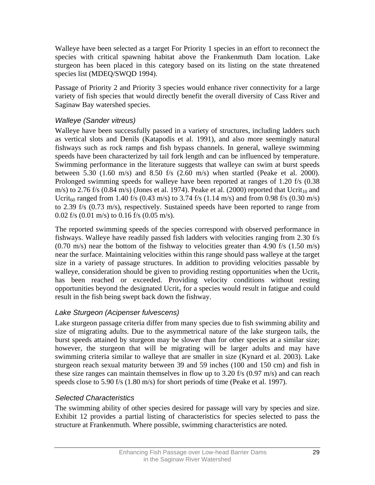Walleye have been selected as a target For Priority 1 species in an effort to reconnect the species with critical spawning habitat above the Frankenmuth Dam location. Lake sturgeon has been placed in this category based on its listing on the state threatened species list (MDEQ/SWQD 1994).

Passage of Priority 2 and Priority 3 species would enhance river connectivity for a large variety of fish species that would directly benefit the overall diversity of Cass River and Saginaw Bay watershed species.

#### *Walleye (Sander vitreus)*

Walleye have been successfully passed in a variety of structures, including ladders such as vertical slots and Denils (Katapodis et al. 1991), and also more seemingly natural fishways such as rock ramps and fish bypass channels. In general, walleye swimming speeds have been characterized by tail fork length and can be influenced by temperature. Swimming performance in the literature suggests that walleye can swim at burst speeds between 5.30 (1.60 m/s) and 8.50 f/s (2.60 m/s) when startled (Peake et al. 2000). Prolonged swimming speeds for walleye have been reported at ranges of 1.20 f/s (0.38 m/s) to 2.76 f/s (0.84 m/s) (Jones et al. 1974). Peake et al. (2000) reported that  $U\text{crit}_{10}$  and Ucrit<sub>60</sub> ranged from 1.40 f/s (0.43 m/s) to 3.74 f/s (1.14 m/s) and from 0.98 f/s (0.30 m/s) to 2.39 f/s (0.73 m/s), respectively. Sustained speeds have been reported to range from 0.02 f/s (0.01 m/s) to 0.16 f/s (0.05 m/s).

The reported swimming speeds of the species correspond with observed performance in fishways. Walleye have readily passed fish ladders with velocities ranging from 2.30 f/s  $(0.70 \text{ m/s})$  near the bottom of the fishway to velocities greater than 4.90 f/s  $(1.50 \text{ m/s})$ near the surface. Maintaining velocities within this range should pass walleye at the target size in a variety of passage structures. In addition to providing velocities passable by walleye, consideration should be given to providing resting opportunities when the Ucrit<sub>x</sub> has been reached or exceeded. Providing velocity conditions without resting opportunities beyond the designated Ucrit<sub>x</sub> for a species would result in fatigue and could result in the fish being swept back down the fishway.

### *Lake Sturgeon (Acipenser fulvescens)*

Lake sturgeon passage criteria differ from many species due to fish swimming ability and size of migrating adults. Due to the asymmetrical nature of the lake sturgeon tails, the burst speeds attained by sturgeon may be slower than for other species at a similar size; however, the sturgeon that will be migrating will be larger adults and may have swimming criteria similar to walleye that are smaller in size (Kynard et al. 2003). Lake sturgeon reach sexual maturity between 39 and 59 inches (100 and 150 cm) and fish in these size ranges can maintain themselves in flow up to 3.20 f/s (0.97 m/s) and can reach speeds close to 5.90 f/s (1.80 m/s) for short periods of time (Peake et al. 1997).

### *Selected Characteristics*

The swimming ability of other species desired for passage will vary by species and size. Exhibit 12 provides a partial listing of characteristics for species selected to pass the structure at Frankenmuth. Where possible, swimming characteristics are noted.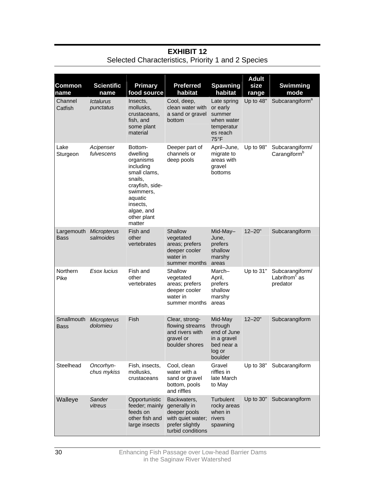| <b>Common</b><br>name | <b>Scientific</b><br>name                   | <b>Primary</b><br>food source                                                                                                                                          | <b>Preferred</b><br>habitat                                                                              | <b>Spawning</b><br>habitat                                                          | <b>Adult</b><br>size<br>range | <b>Swimming</b><br>mode                         |
|-----------------------|---------------------------------------------|------------------------------------------------------------------------------------------------------------------------------------------------------------------------|----------------------------------------------------------------------------------------------------------|-------------------------------------------------------------------------------------|-------------------------------|-------------------------------------------------|
| Channel<br>Catfish    | <i><u><b>Ictalurus</b></u></i><br>punctatus | Insects,<br>mollusks.<br>crustaceans,<br>fish, and<br>some plant<br>material                                                                                           | Cool, deep,<br>clean water with<br>a sand or gravel<br>bottom                                            | Late spring<br>or early<br>summer<br>when water<br>temperatur<br>es reach<br>75°F   | Up to 48"                     | Subcarangiform <sup>a</sup>                     |
| Lake<br>Sturgeon      | Acipenser<br>fulvescens                     | Bottom-<br>dwelling<br>organisms<br>including<br>small clams,<br>snails,<br>crayfish, side-<br>swimmers,<br>aquatic<br>insects,<br>algae, and<br>other plant<br>matter | Deeper part of<br>channels or<br>deep pools                                                              | April-June,<br>migrate to<br>areas with<br>gravel<br>bottoms                        | Up to 98"                     | Subcarangiform/<br>Carangiform <sup>b</sup>     |
| Largemouth<br>Bass    | Micropterus<br>salmoides                    | Fish and<br>other<br>vertebrates                                                                                                                                       | Shallow<br>vegetated<br>areas; prefers<br>deeper cooler<br>water in<br>summer months                     | Mid-May-<br>June,<br>prefers<br>shallow<br>marshy<br>areas                          | $12 - 20"$                    | Subcarangiform                                  |
| Northern<br>Pike      | Esox lucius                                 | Fish and<br>other<br>vertebrates                                                                                                                                       | Shallow<br>vegetated<br>areas; prefers<br>deeper cooler<br>water in<br>summer months                     | March-<br>April,<br>prefers<br>shallow<br>marshy<br>areas                           | Up to $31"$                   | Subcarangiform/<br>Labrifrom $c$ as<br>predator |
| Smallmouth<br>Bass    | Micropterus<br>dolomieu                     | Fish                                                                                                                                                                   | Clear, strong-<br>flowing streams<br>and rivers with<br>gravel or<br>boulder shores                      | Mid-May<br>through<br>end of June<br>in a gravel<br>bed near a<br>log or<br>boulder | $12 - 20"$                    | Subcarangiform                                  |
| Steelhead             | Oncorhyn-<br>chus mykiss                    | Fish, insects,<br>mollusks,<br>crustaceans                                                                                                                             | Cool, clean<br>water with a<br>sand or gravel<br>bottom, pools<br>and riffles                            | Gravel<br>riffles in<br>late March<br>to May                                        | Up to 38"                     | Subcarangiform                                  |
| Walleye               | Sander<br>vitreus                           | Opportunistic<br>feeder; mainly<br>feeds on<br>other fish and<br>large insects                                                                                         | Backwaters,<br>generally in<br>deeper pools<br>with quiet water;<br>prefer slightly<br>turbid conditions | Turbulent<br>rocky areas<br>when in<br>rivers<br>spawning                           | Up to 30"                     | Subcarangiform                                  |

#### **EXHIBIT 12**  Selected Characteristics, Priority 1 and 2 Species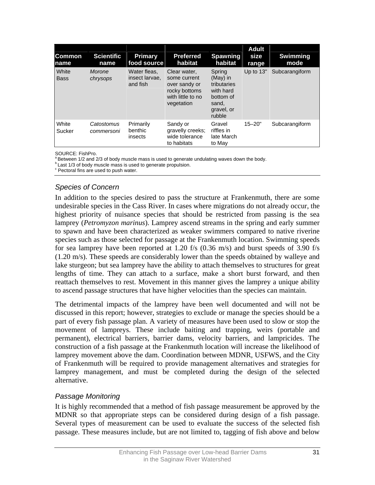| <b>Common</b><br>Iname | <b>Scientific</b><br>name | <b>Primary</b><br>food source              | <b>Preferred</b><br>habitat                                                                       | <b>Spawning</b><br>habitat                                                                     | <b>Adult</b><br>size<br>range | <b>Swimming</b><br>mode |
|------------------------|---------------------------|--------------------------------------------|---------------------------------------------------------------------------------------------------|------------------------------------------------------------------------------------------------|-------------------------------|-------------------------|
| White<br><b>Bass</b>   | Morone<br>chrysops        | Water fleas.<br>insect larvae,<br>and fish | Clear water,<br>some current<br>over sandy or<br>rocky bottoms<br>with little to no<br>vegetation | Spring<br>$(Mav)$ in<br>tributaries<br>with hard<br>bottom of<br>sand,<br>gravel, or<br>rubble | Up to 13"                     | Subcarangiform          |
| White<br>Sucker        | Catostomus<br>commersoni  | Primarily<br>benthic<br>insects            | Sandy or<br>gravelly creeks;<br>wide tolerance<br>to habitats                                     | Gravel<br>riffles in<br>late March<br>to May                                                   | $15 - 20"$                    | Subcarangiform          |

SOURCE: FishPro.<br><sup>a</sup> Between 1/2 and 2/3 of body muscle mass is used to generate undulating waves down the body.<br><sup>b</sup> Last 1/3 of body muscle mass is used to generate propulsion.

<sup>c</sup> Pectoral fins are used to push water.

#### *Species of Concern*

In addition to the species desired to pass the structure at Frankenmuth, there are some undesirable species in the Cass River. In cases where migrations do not already occur, the highest priority of nuisance species that should be restricted from passing is the sea lamprey (*Petromyzon marinus*). Lamprey ascend streams in the spring and early summer to spawn and have been characterized as weaker swimmers compared to native riverine species such as those selected for passage at the Frankenmuth location. Swimming speeds for sea lamprey have been reported at 1.20 f/s  $(0.36 \text{ m/s})$  and burst speeds of 3.90 f/s (1.20 m/s). These speeds are considerably lower than the speeds obtained by walleye and lake sturgeon; but sea lamprey have the ability to attach themselves to structures for great lengths of time. They can attach to a surface, make a short burst forward, and then reattach themselves to rest. Movement in this manner gives the lamprey a unique ability to ascend passage structures that have higher velocities than the species can maintain.

The detrimental impacts of the lamprey have been well documented and will not be discussed in this report; however, strategies to exclude or manage the species should be a part of every fish passage plan. A variety of measures have been used to slow or stop the movement of lampreys. These include baiting and trapping, weirs (portable and permanent), electrical barriers, barrier dams, velocity barriers, and lampricides. The construction of a fish passage at the Frankenmuth location will increase the likelihood of lamprey movement above the dam. Coordination between MDNR, USFWS, and the City of Frankenmuth will be required to provide management alternatives and strategies for lamprey management, and must be completed during the design of the selected alternative.

#### *Passage Monitoring*

It is highly recommended that a method of fish passage measurement be approved by the MDNR so that appropriate steps can be considered during design of a fish passage. Several types of measurement can be used to evaluate the success of the selected fish passage. These measures include, but are not limited to, tagging of fish above and below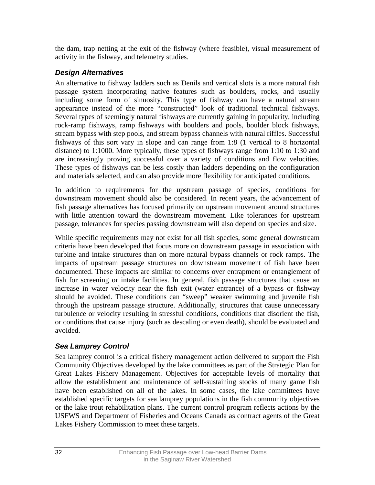<span id="page-35-0"></span>the dam, trap netting at the exit of the fishway (where feasible), visual measurement of activity in the fishway, and telemetry studies.

### *Design Alternatives*

An alternative to fishway ladders such as Denils and vertical slots is a more natural fish passage system incorporating native features such as boulders, rocks, and usually including some form of sinuosity. This type of fishway can have a natural stream appearance instead of the more "constructed" look of traditional technical fishways. Several types of seemingly natural fishways are currently gaining in popularity, including rock-ramp fishways, ramp fishways with boulders and pools, boulder block fishways, stream bypass with step pools, and stream bypass channels with natural riffles. Successful fishways of this sort vary in slope and can range from 1:8 (1 vertical to 8 horizontal distance) to 1:1000. More typically, these types of fishways range from 1:10 to 1:30 and are increasingly proving successful over a variety of conditions and flow velocities. These types of fishways can be less costly than ladders depending on the configuration and materials selected, and can also provide more flexibility for anticipated conditions.

In addition to requirements for the upstream passage of species, conditions for downstream movement should also be considered. In recent years, the advancement of fish passage alternatives has focused primarily on upstream movement around structures with little attention toward the downstream movement. Like tolerances for upstream passage, tolerances for species passing downstream will also depend on species and size.

While specific requirements may not exist for all fish species, some general downstream criteria have been developed that focus more on downstream passage in association with turbine and intake structures than on more natural bypass channels or rock ramps. The impacts of upstream passage structures on downstream movement of fish have been documented. These impacts are similar to concerns over entrapment or entanglement of fish for screening or intake facilities. In general, fish passage structures that cause an increase in water velocity near the fish exit (water entrance) of a bypass or fishway should be avoided. These conditions can "sweep" weaker swimming and juvenile fish through the upstream passage structure. Additionally, structures that cause unnecessary turbulence or velocity resulting in stressful conditions, conditions that disorient the fish, or conditions that cause injury (such as descaling or even death), should be evaluated and avoided.

### *Sea Lamprey Control*

Sea lamprey control is a critical fishery management action delivered to support the Fish Community Objectives developed by the lake committees as part of the Strategic Plan for Great Lakes Fishery Management. Objectives for acceptable levels of mortality that allow the establishment and maintenance of self-sustaining stocks of many game fish have been established on all of the lakes. In some cases, the lake committees have established specific targets for sea lamprey populations in the fish community objectives or the lake trout rehabilitation plans. The current control program reflects actions by the USFWS and Department of Fisheries and Oceans Canada as contract agents of the Great Lakes Fishery Commission to meet these targets.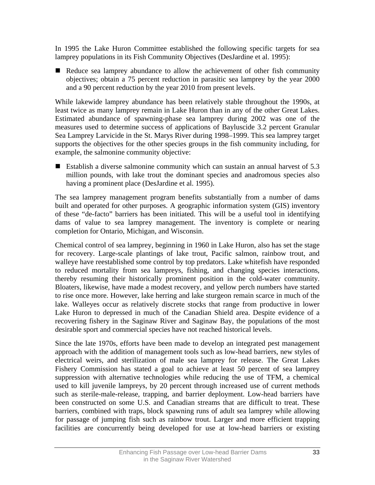In 1995 the Lake Huron Committee established the following specific targets for sea lamprey populations in its Fish Community Objectives (DesJardine et al. 1995):

Reduce sea lamprey abundance to allow the achievement of other fish community objectives; obtain a 75 percent reduction in parasitic sea lamprey by the year 2000 and a 90 percent reduction by the year 2010 from present levels.

While lakewide lamprey abundance has been relatively stable throughout the 1990s, at least twice as many lamprey remain in Lake Huron than in any of the other Great Lakes. Estimated abundance of spawning-phase sea lamprey during 2002 was one of the measures used to determine success of applications of Bayluscide 3.2 percent Granular Sea Lamprey Larvicide in the St. Marys River during 1998–1999. This sea lamprey target supports the objectives for the other species groups in the fish community including, for example, the salmonine community objective:

 Establish a diverse salmonine community which can sustain an annual harvest of 5.3 million pounds, with lake trout the dominant species and anadromous species also having a prominent place (DesJardine et al. 1995).

The sea lamprey management program benefits substantially from a number of dams built and operated for other purposes. A geographic information system (GIS) inventory of these "de-facto" barriers has been initiated. This will be a useful tool in identifying dams of value to sea lamprey management. The inventory is complete or nearing completion for Ontario, Michigan, and Wisconsin.

Chemical control of sea lamprey, beginning in 1960 in Lake Huron, also has set the stage for recovery. Large-scale plantings of lake trout, Pacific salmon, rainbow trout, and walleye have reestablished some control by top predators. Lake whitefish have responded to reduced mortality from sea lampreys, fishing, and changing species interactions, thereby resuming their historically prominent position in the cold-water community. Bloaters, likewise, have made a modest recovery, and yellow perch numbers have started to rise once more. However, lake herring and lake sturgeon remain scarce in much of the lake. Walleyes occur as relatively discrete stocks that range from productive in lower Lake Huron to depressed in much of the Canadian Shield area. Despite evidence of a recovering fishery in the Saginaw River and Saginaw Bay, the populations of the most desirable sport and commercial species have not reached historical levels.

Since the late 1970s, efforts have been made to develop an integrated pest management approach with the addition of management tools such as low-head barriers, new styles of electrical weirs, and sterilization of male sea lamprey for release. The Great Lakes Fishery Commission has stated a goal to achieve at least 50 percent of sea lamprey suppression with alternative technologies while reducing the use of TFM, a chemical used to kill juvenile lampreys, by 20 percent through increased use of current methods such as sterile-male-release, trapping, and barrier deployment. Low-head barriers have been constructed on some U.S. and Canadian streams that are difficult to treat. These barriers, combined with traps, block spawning runs of adult sea lamprey while allowing for passage of jumping fish such as rainbow trout. Larger and more efficient trapping facilities are concurrently being developed for use at low-head barriers or existing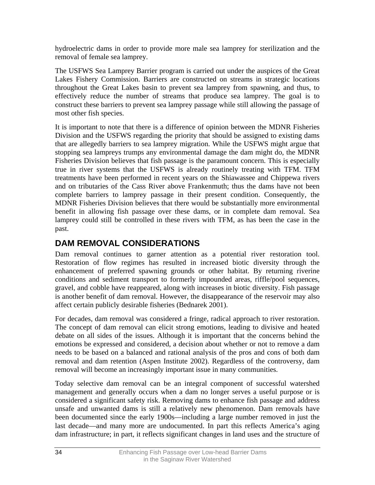hydroelectric dams in order to provide more male sea lamprey for sterilization and the removal of female sea lamprey.

The USFWS Sea Lamprey Barrier program is carried out under the auspices of the Great Lakes Fishery Commission. Barriers are constructed on streams in strategic locations throughout the Great Lakes basin to prevent sea lamprey from spawning, and thus, to effectively reduce the number of streams that produce sea lamprey. The goal is to construct these barriers to prevent sea lamprey passage while still allowing the passage of most other fish species.

It is important to note that there is a difference of opinion between the MDNR Fisheries Division and the USFWS regarding the priority that should be assigned to existing dams that are allegedly barriers to sea lamprey migration. While the USFWS might argue that stopping sea lampreys trumps any environmental damage the dam might do, the MDNR Fisheries Division believes that fish passage is the paramount concern. This is especially true in river systems that the USFWS is already routinely treating with TFM. TFM treatments have been performed in recent years on the Shiawassee and Chippewa rivers and on tributaries of the Cass River above Frankenmuth; thus the dams have not been complete barriers to lamprey passage in their present condition. Consequently, the MDNR Fisheries Division believes that there would be substantially more environmental benefit in allowing fish passage over these dams, or in complete dam removal. Sea lamprey could still be controlled in these rivers with TFM, as has been the case in the past.

# **DAM REMOVAL CONSIDERATIONS**

Dam removal continues to garner attention as a potential river restoration tool. Restoration of flow regimes has resulted in increased biotic diversity through the enhancement of preferred spawning grounds or other habitat. By returning riverine conditions and sediment transport to formerly impounded areas, riffle/pool sequences, gravel, and cobble have reappeared, along with increases in biotic diversity. Fish passage is another benefit of dam removal. However, the disappearance of the reservoir may also affect certain publicly desirable fisheries (Bednarek 2001).

For decades, dam removal was considered a fringe, radical approach to river restoration. The concept of dam removal can elicit strong emotions, leading to divisive and heated debate on all sides of the issues. Although it is important that the concerns behind the emotions be expressed and considered, a decision about whether or not to remove a dam needs to be based on a balanced and rational analysis of the pros and cons of both dam removal and dam retention (Aspen Institute 2002). Regardless of the controversy, dam removal will become an increasingly important issue in many communities.

Today selective dam removal can be an integral component of successful watershed management and generally occurs when a dam no longer serves a useful purpose or is considered a significant safety risk. Removing dams to enhance fish passage and address unsafe and unwanted dams is still a relatively new phenomenon. Dam removals have been documented since the early 1900s—including a large number removed in just the last decade—and many more are undocumented. In part this reflects America's aging dam infrastructure; in part, it reflects significant changes in land uses and the structure of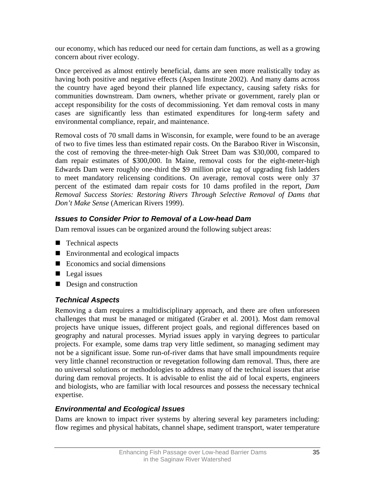our economy, which has reduced our need for certain dam functions, as well as a growing concern about river ecology.

Once perceived as almost entirely beneficial, dams are seen more realistically today as having both positive and negative effects (Aspen Institute 2002). And many dams across the country have aged beyond their planned life expectancy, causing safety risks for communities downstream. Dam owners, whether private or government, rarely plan or accept responsibility for the costs of decommissioning. Yet dam removal costs in many cases are significantly less than estimated expenditures for long-term safety and environmental compliance, repair, and maintenance.

Removal costs of 70 small dams in Wisconsin, for example, were found to be an average of two to five times less than estimated repair costs. On the Baraboo River in Wisconsin, the cost of removing the three-meter-high Oak Street Dam was \$30,000, compared to dam repair estimates of \$300,000. In Maine, removal costs for the eight-meter-high Edwards Dam were roughly one-third the \$9 million price tag of upgrading fish ladders to meet mandatory relicensing conditions. On average, removal costs were only 37 percent of the estimated dam repair costs for 10 dams profiled in the report, *Dam Removal Success Stories: Restoring Rivers Through Selective Removal of Dams that Don't Make Sense* (American Rivers 1999).

# *Issues to Consider Prior to Removal of a Low-head Dam*

Dam removal issues can be organized around the following subject areas:

- Technical aspects
- Environmental and ecological impacts
- Economics and social dimensions
- $\blacksquare$  Legal issues
- Design and construction

### *Technical Aspects*

Removing a dam requires a multidisciplinary approach, and there are often unforeseen challenges that must be managed or mitigated (Graber et al. 2001). Most dam removal projects have unique issues, different project goals, and regional differences based on geography and natural processes. Myriad issues apply in varying degrees to particular projects. For example, some dams trap very little sediment, so managing sediment may not be a significant issue. Some run-of-river dams that have small impoundments require very little channel reconstruction or revegetation following dam removal. Thus, there are no universal solutions or methodologies to address many of the technical issues that arise during dam removal projects. It is advisable to enlist the aid of local experts, engineers and biologists, who are familiar with local resources and possess the necessary technical expertise.

### *Environmental and Ecological Issues*

Dams are known to impact river systems by altering several key parameters including: flow regimes and physical habitats, channel shape, sediment transport, water temperature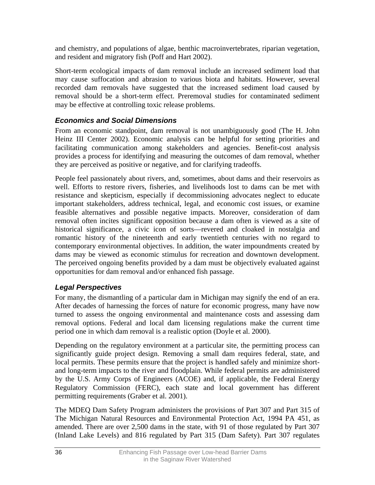and chemistry, and populations of algae, benthic macroinvertebrates, riparian vegetation, and resident and migratory fish (Poff and Hart 2002).

Short-term ecological impacts of dam removal include an increased sediment load that may cause suffocation and abrasion to various biota and habitats. However, several recorded dam removals have suggested that the increased sediment load caused by removal should be a short-term effect. Preremoval studies for contaminated sediment may be effective at controlling toxic release problems.

# *Economics and Social Dimensions*

From an economic standpoint, dam removal is not unambiguously good (The H. John Heinz III Center 2002). Economic analysis can be helpful for setting priorities and facilitating communication among stakeholders and agencies. Benefit-cost analysis provides a process for identifying and measuring the outcomes of dam removal, whether they are perceived as positive or negative, and for clarifying tradeoffs.

People feel passionately about rivers, and, sometimes, about dams and their reservoirs as well. Efforts to restore rivers, fisheries, and livelihoods lost to dams can be met with resistance and skepticism, especially if decommissioning advocates neglect to educate important stakeholders, address technical, legal, and economic cost issues, or examine feasible alternatives and possible negative impacts. Moreover, consideration of dam removal often incites significant opposition because a dam often is viewed as a site of historical significance, a civic icon of sorts—revered and cloaked in nostalgia and romantic history of the nineteenth and early twentieth centuries with no regard to contemporary environmental objectives. In addition, the water impoundments created by dams may be viewed as economic stimulus for recreation and downtown development. The perceived ongoing benefits provided by a dam must be objectively evaluated against opportunities for dam removal and/or enhanced fish passage.

# *Legal Perspectives*

For many, the dismantling of a particular dam in Michigan may signify the end of an era. After decades of harnessing the forces of nature for economic progress, many have now turned to assess the ongoing environmental and maintenance costs and assessing dam removal options. Federal and local dam licensing regulations make the current time period one in which dam removal is a realistic option (Doyle et al. 2000).

Depending on the regulatory environment at a particular site, the permitting process can significantly guide project design. Removing a small dam requires federal, state, and local permits. These permits ensure that the project is handled safely and minimize shortand long-term impacts to the river and floodplain. While federal permits are administered by the U.S. Army Corps of Engineers (ACOE) and, if applicable, the Federal Energy Regulatory Commission (FERC), each state and local government has different permitting requirements (Graber et al. 2001).

The MDEQ Dam Safety Program administers the provisions of Part 307 and Part 315 of The Michigan Natural Resources and Environmental Protection Act, 1994 PA 451, as amended. There are over 2,500 dams in the state, with 91 of those regulated by Part 307 (Inland Lake Levels) and 816 regulated by Part 315 (Dam Safety). Part 307 regulates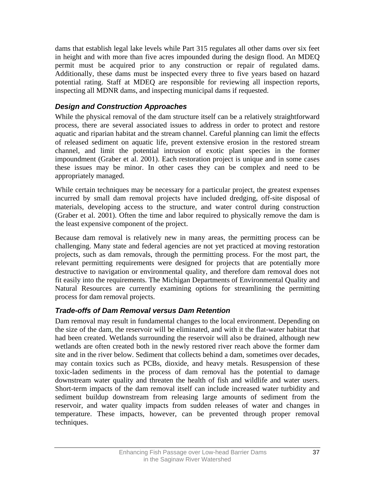dams that establish legal lake levels while Part 315 regulates all other dams over six feet in height and with more than five acres impounded during the design flood. An MDEQ permit must be acquired prior to any construction or repair of regulated dams. Additionally, these dams must be inspected every three to five years based on hazard potential rating. Staff at MDEQ are responsible for reviewing all inspection reports, inspecting all MDNR dams, and inspecting municipal dams if requested.

## *Design and Construction Approaches*

While the physical removal of the dam structure itself can be a relatively straightforward process, there are several associated issues to address in order to protect and restore aquatic and riparian habitat and the stream channel. Careful planning can limit the effects of released sediment on aquatic life, prevent extensive erosion in the restored stream channel, and limit the potential intrusion of exotic plant species in the former impoundment (Graber et al. 2001). Each restoration project is unique and in some cases these issues may be minor. In other cases they can be complex and need to be appropriately managed.

While certain techniques may be necessary for a particular project, the greatest expenses incurred by small dam removal projects have included dredging, off-site disposal of materials, developing access to the structure, and water control during construction (Graber et al. 2001). Often the time and labor required to physically remove the dam is the least expensive component of the project.

Because dam removal is relatively new in many areas, the permitting process can be challenging. Many state and federal agencies are not yet practiced at moving restoration projects, such as dam removals, through the permitting process. For the most part, the relevant permitting requirements were designed for projects that are potentially more destructive to navigation or environmental quality, and therefore dam removal does not fit easily into the requirements. The Michigan Departments of Environmental Quality and Natural Resources are currently examining options for streamlining the permitting process for dam removal projects.

### *Trade-offs of Dam Removal versus Dam Retention*

Dam removal may result in fundamental changes to the local environment. Depending on the size of the dam, the reservoir will be eliminated, and with it the flat-water habitat that had been created. Wetlands surrounding the reservoir will also be drained, although new wetlands are often created both in the newly restored river reach above the former dam site and in the river below. Sediment that collects behind a dam, sometimes over decades, may contain toxics such as PCBs, dioxide, and heavy metals. Resuspension of these toxic-laden sediments in the process of dam removal has the potential to damage downstream water quality and threaten the health of fish and wildlife and water users. Short-term impacts of the dam removal itself can include increased water turbidity and sediment buildup downstream from releasing large amounts of sediment from the reservoir, and water quality impacts from sudden releases of water and changes in temperature. These impacts, however, can be prevented through proper removal techniques.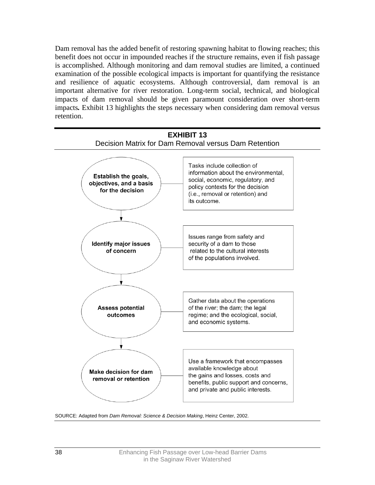Dam removal has the added benefit of restoring spawning habitat to flowing reaches; this benefit does not occur in impounded reaches if the structure remains, even if fish passage is accomplished. Although monitoring and dam removal studies are limited, a continued examination of the possible ecological impacts is important for quantifying the resistance and resilience of aquatic ecosystems. Although controversial, dam removal is an important alternative for river restoration. Long-term social, technical, and biological impacts of dam removal should be given paramount consideration over short-term impacts*.* Exhibit 13 highlights the steps necessary when considering dam removal versus retention.



SOURCE: Adapted from *Dam Removal: Science & Decision Making*, Heinz Center, 2002.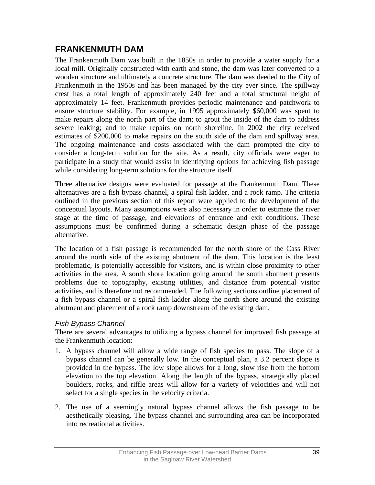# **FRANKENMUTH DAM**

The Frankenmuth Dam was built in the 1850s in order to provide a water supply for a local mill. Originally constructed with earth and stone, the dam was later converted to a wooden structure and ultimately a concrete structure. The dam was deeded to the City of Frankenmuth in the 1950s and has been managed by the city ever since. The spillway crest has a total length of approximately 240 feet and a total structural height of approximately 14 feet. Frankenmuth provides periodic maintenance and patchwork to ensure structure stability. For example, in 1995 approximately \$60,000 was spent to make repairs along the north part of the dam; to grout the inside of the dam to address severe leaking; and to make repairs on north shoreline. In 2002 the city received estimates of \$200,000 to make repairs on the south side of the dam and spillway area. The ongoing maintenance and costs associated with the dam prompted the city to consider a long-term solution for the site. As a result, city officials were eager to participate in a study that would assist in identifying options for achieving fish passage while considering long-term solutions for the structure itself.

Three alternative designs were evaluated for passage at the Frankenmuth Dam. These alternatives are a fish bypass channel, a spiral fish ladder, and a rock ramp. The criteria outlined in the previous section of this report were applied to the development of the conceptual layouts. Many assumptions were also necessary in order to estimate the river stage at the time of passage, and elevations of entrance and exit conditions. These assumptions must be confirmed during a schematic design phase of the passage alternative.

The location of a fish passage is recommended for the north shore of the Cass River around the north side of the existing abutment of the dam. This location is the least problematic, is potentially accessible for visitors, and is within close proximity to other activities in the area. A south shore location going around the south abutment presents problems due to topography, existing utilities, and distance from potential visitor activities, and is therefore not recommended. The following sections outline placement of a fish bypass channel or a spiral fish ladder along the north shore around the existing abutment and placement of a rock ramp downstream of the existing dam.

### *Fish Bypass Channel*

There are several advantages to utilizing a bypass channel for improved fish passage at the Frankenmuth location:

- 1. A bypass channel will allow a wide range of fish species to pass. The slope of a bypass channel can be generally low. In the conceptual plan, a 3.2 percent slope is provided in the bypass. The low slope allows for a long, slow rise from the bottom elevation to the top elevation. Along the length of the bypass, strategically placed boulders, rocks, and riffle areas will allow for a variety of velocities and will not select for a single species in the velocity criteria.
- 2. The use of a seemingly natural bypass channel allows the fish passage to be aesthetically pleasing. The bypass channel and surrounding area can be incorporated into recreational activities.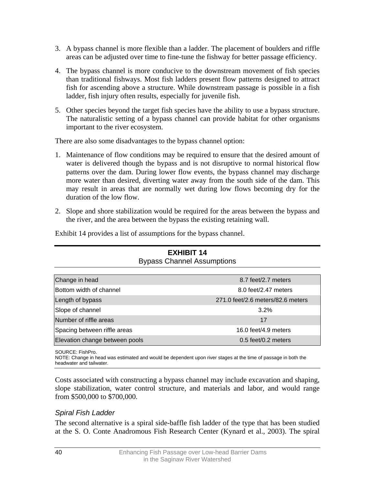- 3. A bypass channel is more flexible than a ladder. The placement of boulders and riffle areas can be adjusted over time to fine-tune the fishway for better passage efficiency.
- 4. The bypass channel is more conducive to the downstream movement of fish species than traditional fishways. Most fish ladders present flow patterns designed to attract fish for ascending above a structure. While downstream passage is possible in a fish ladder, fish injury often results, especially for juvenile fish.
- 5. Other species beyond the target fish species have the ability to use a bypass structure. The naturalistic setting of a bypass channel can provide habitat for other organisms important to the river ecosystem.

There are also some disadvantages to the bypass channel option:

- 1. Maintenance of flow conditions may be required to ensure that the desired amount of water is delivered though the bypass and is not disruptive to normal historical flow patterns over the dam. During lower flow events, the bypass channel may discharge more water than desired, diverting water away from the south side of the dam. This may result in areas that are normally wet during low flows becoming dry for the duration of the low flow.
- 2. Slope and shore stabilization would be required for the areas between the bypass and the river, and the area between the bypass the existing retaining wall.

| <b>EXHIBIT 14</b><br><b>Bypass Channel Assumptions</b> |                                   |  |
|--------------------------------------------------------|-----------------------------------|--|
|                                                        |                                   |  |
| Change in head                                         | 8.7 feet/2.7 meters               |  |
| Bottom width of channel                                | 8.0 feet/2.47 meters              |  |
| Length of bypass                                       | 271.0 feet/2.6 meters/82.6 meters |  |
| Slope of channel                                       | 3.2%                              |  |
| Number of riffle areas                                 | 17                                |  |
| Spacing between riffle areas                           | 16.0 feet/4.9 meters              |  |
| Elevation change between pools                         | $0.5$ feet/0.2 meters             |  |

Exhibit 14 provides a list of assumptions for the bypass channel.

SOURCE: FishPro.

NOTE: Change in head was estimated and would be dependent upon river stages at the time of passage in both the headwater and tailwater.

Costs associated with constructing a bypass channel may include excavation and shaping, slope stabilization, water control structure, and materials and labor, and would range from \$500,000 to \$700,000.

### *Spiral Fish Ladder*

The second alternative is a spiral side-baffle fish ladder of the type that has been studied at the S. O. Conte Anadromous Fish Research Center (Kynard et al., 2003). The spiral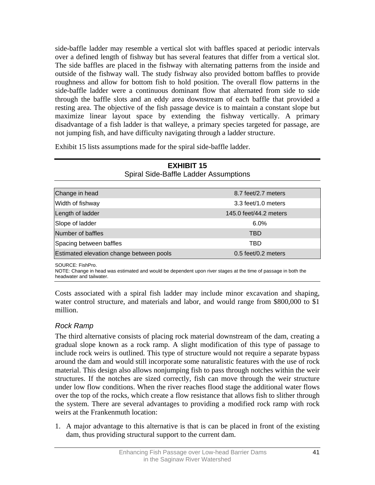side-baffle ladder may resemble a vertical slot with baffles spaced at periodic intervals over a defined length of fishway but has several features that differ from a vertical slot. The side baffles are placed in the fishway with alternating patterns from the inside and outside of the fishway wall. The study fishway also provided bottom baffles to provide roughness and allow for bottom fish to hold position. The overall flow patterns in the side-baffle ladder were a continuous dominant flow that alternated from side to side through the baffle slots and an eddy area downstream of each baffle that provided a resting area. The objective of the fish passage device is to maintain a constant slope but maximize linear layout space by extending the fishway vertically. A primary disadvantage of a fish ladder is that walleye, a primary species targeted for passage, are not jumping fish, and have difficulty navigating through a ladder structure.

Exhibit 15 lists assumptions made for the spiral side-baffle ladder.

| <b>EXHIBIT 15</b><br><b>Spiral Side-Baffle Ladder Assumptions</b> |                        |  |
|-------------------------------------------------------------------|------------------------|--|
| Change in head                                                    | 8.7 feet/2.7 meters    |  |
| Width of fishway                                                  | 3.3 feet/1.0 meters    |  |
| Length of ladder                                                  | 145.0 feet/44.2 meters |  |
| Slope of ladder                                                   | 6.0%                   |  |
| Number of baffles                                                 | TBD                    |  |
| Spacing between baffles                                           | TBD                    |  |
| Estimated elevation change between pools                          | $0.5$ feet/0.2 meters  |  |

SOURCE: FishPro.

NOTE: Change in head was estimated and would be dependent upon river stages at the time of passage in both the headwater and tailwater.

Costs associated with a spiral fish ladder may include minor excavation and shaping, water control structure, and materials and labor, and would range from \$800,000 to \$1 million.

# *Rock Ramp*

The third alternative consists of placing rock material downstream of the dam, creating a gradual slope known as a rock ramp. A slight modification of this type of passage to include rock weirs is outlined. This type of structure would not require a separate bypass around the dam and would still incorporate some naturalistic features with the use of rock material. This design also allows nonjumping fish to pass through notches within the weir structures. If the notches are sized correctly, fish can move through the weir structure under low flow conditions. When the river reaches flood stage the additional water flows over the top of the rocks, which create a flow resistance that allows fish to slither through the system. There are several advantages to providing a modified rock ramp with rock weirs at the Frankenmuth location:

1. A major advantage to this alternative is that is can be placed in front of the existing dam, thus providing structural support to the current dam.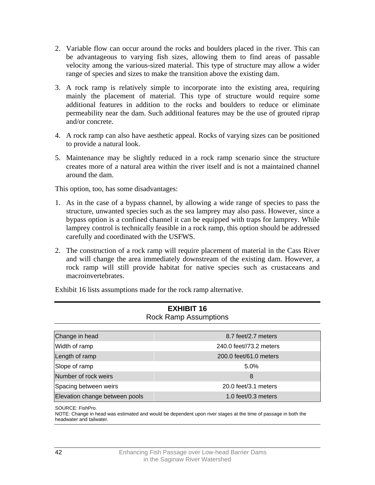- 2. Variable flow can occur around the rocks and boulders placed in the river. This can be advantageous to varying fish sizes, allowing them to find areas of passable velocity among the various-sized material. This type of structure may allow a wider range of species and sizes to make the transition above the existing dam.
- 3. A rock ramp is relatively simple to incorporate into the existing area, requiring mainly the placement of material. This type of structure would require some additional features in addition to the rocks and boulders to reduce or eliminate permeability near the dam. Such additional features may be the use of grouted riprap and/or concrete.
- 4. A rock ramp can also have aesthetic appeal. Rocks of varying sizes can be positioned to provide a natural look.
- 5. Maintenance may be slightly reduced in a rock ramp scenario since the structure creates more of a natural area within the river itself and is not a maintained channel around the dam.

This option, too, has some disadvantages:

- 1. As in the case of a bypass channel, by allowing a wide range of species to pass the structure, unwanted species such as the sea lamprey may also pass. However, since a bypass option is a confined channel it can be equipped with traps for lamprey. While lamprey control is technically feasible in a rock ramp, this option should be addressed carefully and coordinated with the USFWS.
- 2. The construction of a rock ramp will require placement of material in the Cass River and will change the area immediately downstream of the existing dam. However, a rock ramp will still provide habitat for native species such as crustaceans and macroinvertebrates.

Exhibit 16 lists assumptions made for the rock ramp alternative.

| --------<br><b>Rock Ramp Assumptions</b> |                         |  |
|------------------------------------------|-------------------------|--|
| Change in head                           | 8.7 feet/2.7 meters     |  |
| Width of ramp                            | 240.0 feet//73.2 meters |  |
| Length of ramp                           | 200.0 feet/61.0 meters  |  |
| Slope of ramp                            | 5.0%                    |  |
| Number of rock weirs                     | 8                       |  |
| Spacing between weirs                    | 20.0 feet/3.1 meters    |  |
| Elevation change between pools           | 1.0 feet/0.3 meters     |  |

# **EXHIBIT 16**

SOURCE: FishPro.

NOTE: Change in head was estimated and would be dependent upon river stages at the time of passage in both the headwater and tailwater.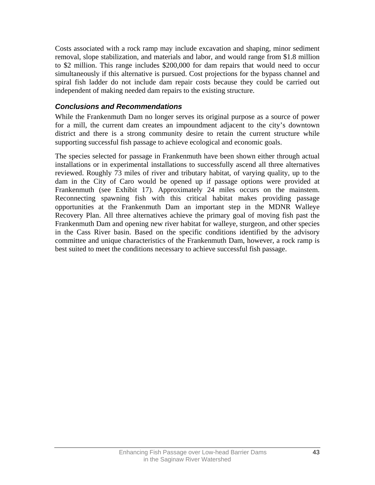Costs associated with a rock ramp may include excavation and shaping, minor sediment removal, slope stabilization, and materials and labor, and would range from \$1.8 million to \$2 million. This range includes \$200,000 for dam repairs that would need to occur simultaneously if this alternative is pursued. Cost projections for the bypass channel and spiral fish ladder do not include dam repair costs because they could be carried out independent of making needed dam repairs to the existing structure.

### *Conclusions and Recommendations*

While the Frankenmuth Dam no longer serves its original purpose as a source of power for a mill, the current dam creates an impoundment adjacent to the city's downtown district and there is a strong community desire to retain the current structure while supporting successful fish passage to achieve ecological and economic goals.

The species selected for passage in Frankenmuth have been shown either through actual installations or in experimental installations to successfully ascend all three alternatives reviewed. Roughly 73 miles of river and tributary habitat, of varying quality, up to the dam in the City of Caro would be opened up if passage options were provided at Frankenmuth (see Exhibit 17). Approximately 24 miles occurs on the mainstem. Reconnecting spawning fish with this critical habitat makes providing passage opportunities at the Frankenmuth Dam an important step in the MDNR Walleye Recovery Plan. All three alternatives achieve the primary goal of moving fish past the Frankenmuth Dam and opening new river habitat for walleye, sturgeon, and other species in the Cass River basin. Based on the specific conditions identified by the advisory committee and unique characteristics of the Frankenmuth Dam, however, a rock ramp is best suited to meet the conditions necessary to achieve successful fish passage.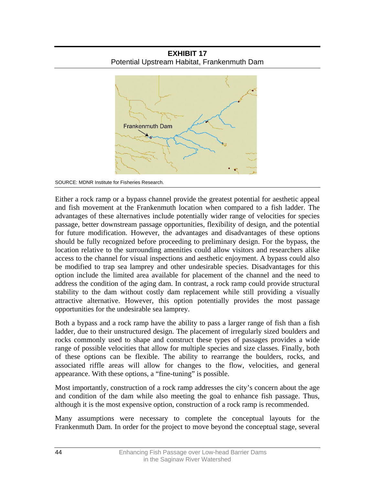



SOURCE: MDNR Institute for Fisheries Research.

Either a rock ramp or a bypass channel provide the greatest potential for aesthetic appeal and fish movement at the Frankenmuth location when compared to a fish ladder. The advantages of these alternatives include potentially wider range of velocities for species passage, better downstream passage opportunities, flexibility of design, and the potential for future modification. However, the advantages and disadvantages of these options should be fully recognized before proceeding to preliminary design. For the bypass, the location relative to the surrounding amenities could allow visitors and researchers alike access to the channel for visual inspections and aesthetic enjoyment. A bypass could also be modified to trap sea lamprey and other undesirable species. Disadvantages for this option include the limited area available for placement of the channel and the need to address the condition of the aging dam. In contrast, a rock ramp could provide structural stability to the dam without costly dam replacement while still providing a visually attractive alternative. However, this option potentially provides the most passage opportunities for the undesirable sea lamprey.

Both a bypass and a rock ramp have the ability to pass a larger range of fish than a fish ladder, due to their unstructured design. The placement of irregularly sized boulders and rocks commonly used to shape and construct these types of passages provides a wide range of possible velocities that allow for multiple species and size classes. Finally, both of these options can be flexible. The ability to rearrange the boulders, rocks, and associated riffle areas will allow for changes to the flow, velocities, and general appearance. With these options, a "fine-tuning" is possible.

Most importantly, construction of a rock ramp addresses the city's concern about the age and condition of the dam while also meeting the goal to enhance fish passage. Thus, although it is the most expensive option, construction of a rock ramp is recommended.

Many assumptions were necessary to complete the conceptual layouts for the Frankenmuth Dam. In order for the project to move beyond the conceptual stage, several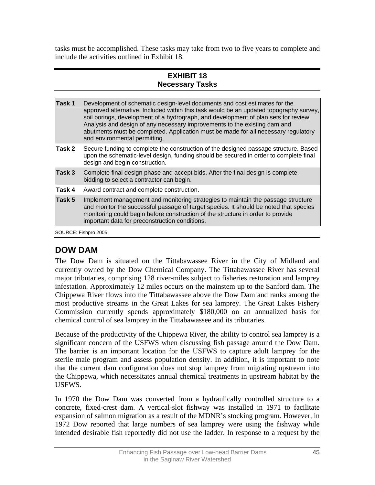tasks must be accomplished. These tasks may take from two to five years to complete and include the activities outlined in Exhibit 18.

### **EXHIBIT 18 Necessary Tasks**

| Task 1 | Development of schematic design-level documents and cost estimates for the<br>approved alternative. Included within this task would be an updated topography survey,<br>soil borings, development of a hydrograph, and development of plan sets for review.<br>Analysis and design of any necessary improvements to the existing dam and<br>abutments must be completed. Application must be made for all necessary regulatory<br>and environmental permitting. |
|--------|-----------------------------------------------------------------------------------------------------------------------------------------------------------------------------------------------------------------------------------------------------------------------------------------------------------------------------------------------------------------------------------------------------------------------------------------------------------------|
| Task 2 | Secure funding to complete the construction of the designed passage structure. Based<br>upon the schematic-level design, funding should be secured in order to complete final<br>design and begin construction.                                                                                                                                                                                                                                                 |
| Task 3 | Complete final design phase and accept bids. After the final design is complete,<br>bidding to select a contractor can begin.                                                                                                                                                                                                                                                                                                                                   |
| Task 4 | Award contract and complete construction.                                                                                                                                                                                                                                                                                                                                                                                                                       |
| Task 5 | Implement management and monitoring strategies to maintain the passage structure<br>and monitor the successful passage of target species. It should be noted that species<br>monitoring could begin before construction of the structure in order to provide<br>important data for preconstruction conditions.                                                                                                                                                  |
|        | SOURCE: Fishpro 2005.                                                                                                                                                                                                                                                                                                                                                                                                                                           |

# **DOW DAM**

The Dow Dam is situated on the Tittabawassee River in the City of Midland and currently owned by the Dow Chemical Company. The Tittabawassee River has several major tributaries, comprising 128 river-miles subject to fisheries restoration and lamprey infestation. Approximately 12 miles occurs on the mainstem up to the Sanford dam. The Chippewa River flows into the Tittabawassee above the Dow Dam and ranks among the most productive streams in the Great Lakes for sea lamprey. The Great Lakes Fishery Commission currently spends approximately \$180,000 on an annualized basis for chemical control of sea lamprey in the Tittabawassee and its tributaries.

Because of the productivity of the Chippewa River, the ability to control sea lamprey is a significant concern of the USFWS when discussing fish passage around the Dow Dam. The barrier is an important location for the USFWS to capture adult lamprey for the sterile male program and assess population density. In addition, it is important to note that the current dam configuration does not stop lamprey from migrating upstream into the Chippewa, which necessitates annual chemical treatments in upstream habitat by the USFWS.

In 1970 the Dow Dam was converted from a hydraulically controlled structure to a concrete, fixed-crest dam. A vertical-slot fishway was installed in 1971 to facilitate expansion of salmon migration as a result of the MDNR's stocking program. However, in 1972 Dow reported that large numbers of sea lamprey were using the fishway while intended desirable fish reportedly did not use the ladder. In response to a request by the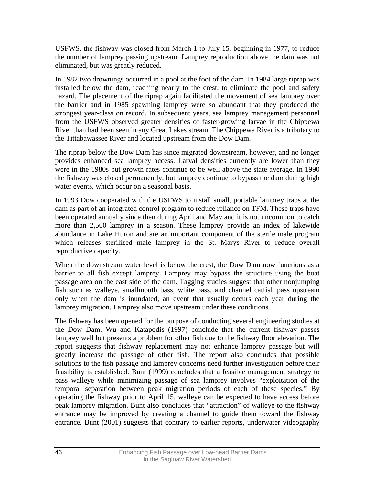USFWS, the fishway was closed from March 1 to July 15, beginning in 1977, to reduce the number of lamprey passing upstream. Lamprey reproduction above the dam was not eliminated, but was greatly reduced.

In 1982 two drownings occurred in a pool at the foot of the dam. In 1984 large riprap was installed below the dam, reaching nearly to the crest, to eliminate the pool and safety hazard. The placement of the riprap again facilitated the movement of sea lamprey over the barrier and in 1985 spawning lamprey were so abundant that they produced the strongest year-class on record. In subsequent years, sea lamprey management personnel from the USFWS observed greater densities of faster-growing larvae in the Chippewa River than had been seen in any Great Lakes stream. The Chippewa River is a tributary to the Tittabawassee River and located upstream from the Dow Dam.

The riprap below the Dow Dam has since migrated downstream, however, and no longer provides enhanced sea lamprey access. Larval densities currently are lower than they were in the 1980s but growth rates continue to be well above the state average. In 1990 the fishway was closed permanently, but lamprey continue to bypass the dam during high water events, which occur on a seasonal basis.

In 1993 Dow cooperated with the USFWS to install small, portable lamprey traps at the dam as part of an integrated control program to reduce reliance on TFM. These traps have been operated annually since then during April and May and it is not uncommon to catch more than 2,500 lamprey in a season. These lamprey provide an index of lakewide abundance in Lake Huron and are an important component of the sterile male program which releases sterilized male lamprey in the St. Marys River to reduce overall reproductive capacity.

When the downstream water level is below the crest, the Dow Dam now functions as a barrier to all fish except lamprey. Lamprey may bypass the structure using the boat passage area on the east side of the dam. Tagging studies suggest that other nonjumping fish such as walleye, smallmouth bass, white bass, and channel catfish pass upstream only when the dam is inundated, an event that usually occurs each year during the lamprey migration. Lamprey also move upstream under these conditions.

The fishway has been opened for the purpose of conducting several engineering studies at the Dow Dam. Wu and Katapodis (1997) conclude that the current fishway passes lamprey well but presents a problem for other fish due to the fishway floor elevation. The report suggests that fishway replacement may not enhance lamprey passage but will greatly increase the passage of other fish. The report also concludes that possible solutions to the fish passage and lamprey concerns need further investigation before their feasibility is established. Bunt (1999) concludes that a feasible management strategy to pass walleye while minimizing passage of sea lamprey involves "exploitation of the temporal separation between peak migration periods of each of these species." By operating the fishway prior to April 15, walleye can be expected to have access before peak lamprey migration. Bunt also concludes that "attraction" of walleye to the fishway entrance may be improved by creating a channel to guide them toward the fishway entrance. Bunt (2001) suggests that contrary to earlier reports, underwater videography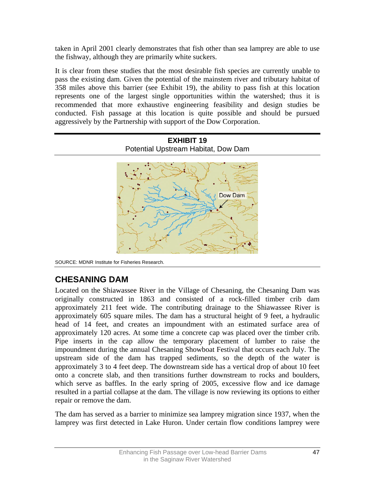taken in April 2001 clearly demonstrates that fish other than sea lamprey are able to use the fishway, although they are primarily white suckers.

It is clear from these studies that the most desirable fish species are currently unable to pass the existing dam. Given the potential of the mainstem river and tributary habitat of 358 miles above this barrier (see Exhibit 19), the ability to pass fish at this location represents one of the largest single opportunities within the watershed; thus it is recommended that more exhaustive engineering feasibility and design studies be conducted. Fish passage at this location is quite possible and should be pursued aggressively by the Partnership with support of the Dow Corporation.



SOURCE: MDNR Institute for Fisheries Research.

# **CHESANING DAM**

Located on the Shiawassee River in the Village of Chesaning, the Chesaning Dam was originally constructed in 1863 and consisted of a rock-filled timber crib dam approximately 211 feet wide. The contributing drainage to the Shiawassee River is approximately 605 square miles. The dam has a structural height of 9 feet, a hydraulic head of 14 feet, and creates an impoundment with an estimated surface area of approximately 120 acres. At some time a concrete cap was placed over the timber crib. Pipe inserts in the cap allow the temporary placement of lumber to raise the impoundment during the annual Chesaning Showboat Festival that occurs each July. The upstream side of the dam has trapped sediments, so the depth of the water is approximately 3 to 4 feet deep. The downstream side has a vertical drop of about 10 feet onto a concrete slab, and then transitions further downstream to rocks and boulders, which serve as baffles. In the early spring of 2005, excessive flow and ice damage resulted in a partial collapse at the dam. The village is now reviewing its options to either repair or remove the dam.

The dam has served as a barrier to minimize sea lamprey migration since 1937, when the lamprey was first detected in Lake Huron. Under certain flow conditions lamprey were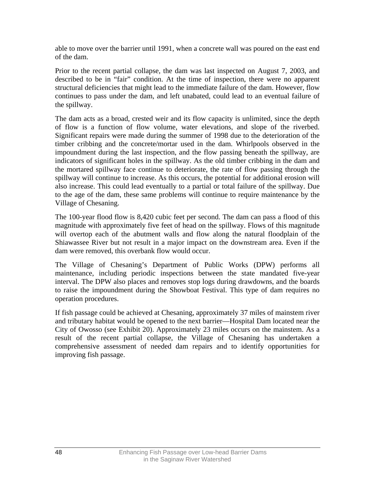able to move over the barrier until 1991, when a concrete wall was poured on the east end of the dam.

Prior to the recent partial collapse, the dam was last inspected on August 7, 2003, and described to be in "fair" condition. At the time of inspection, there were no apparent structural deficiencies that might lead to the immediate failure of the dam. However, flow continues to pass under the dam, and left unabated, could lead to an eventual failure of the spillway.

The dam acts as a broad, crested weir and its flow capacity is unlimited, since the depth of flow is a function of flow volume, water elevations, and slope of the riverbed. Significant repairs were made during the summer of 1998 due to the deterioration of the timber cribbing and the concrete/mortar used in the dam. Whirlpools observed in the impoundment during the last inspection, and the flow passing beneath the spillway, are indicators of significant holes in the spillway. As the old timber cribbing in the dam and the mortared spillway face continue to deteriorate, the rate of flow passing through the spillway will continue to increase. As this occurs, the potential for additional erosion will also increase. This could lead eventually to a partial or total failure of the spillway. Due to the age of the dam, these same problems will continue to require maintenance by the Village of Chesaning.

The 100-year flood flow is 8,420 cubic feet per second. The dam can pass a flood of this magnitude with approximately five feet of head on the spillway. Flows of this magnitude will overtop each of the abutment walls and flow along the natural floodplain of the Shiawassee River but not result in a major impact on the downstream area. Even if the dam were removed, this overbank flow would occur.

The Village of Chesaning's Department of Public Works (DPW) performs all maintenance, including periodic inspections between the state mandated five-year interval. The DPW also places and removes stop logs during drawdowns, and the boards to raise the impoundment during the Showboat Festival. This type of dam requires no operation procedures.

If fish passage could be achieved at Chesaning, approximately 37 miles of mainstem river and tributary habitat would be opened to the next barrier—Hospital Dam located near the City of Owosso (see Exhibit 20). Approximately 23 miles occurs on the mainstem. As a result of the recent partial collapse, the Village of Chesaning has undertaken a comprehensive assessment of needed dam repairs and to identify opportunities for improving fish passage.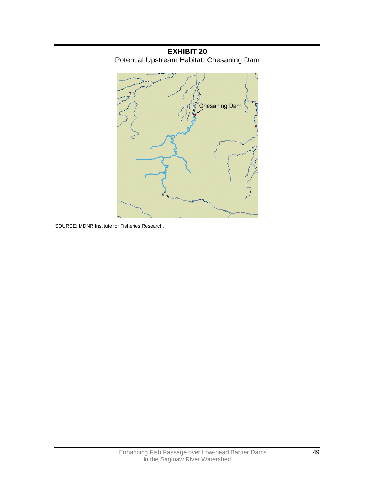

**EXHIBIT 20**  Potential Upstream Habitat, Chesaning Dam

SOURCE: MDNR Institute for Fisheries Research.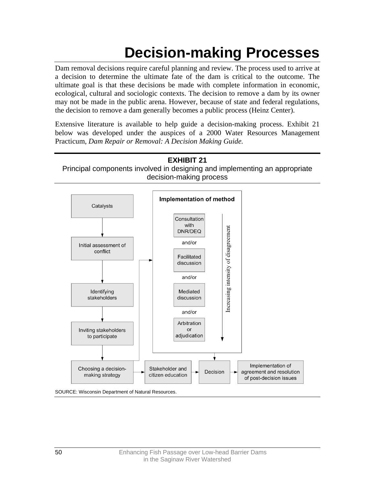# **Decision-making Processes**

Dam removal decisions require careful planning and review. The process used to arrive at a decision to determine the ultimate fate of the dam is critical to the outcome. The ultimate goal is that these decisions be made with complete information in economic, ecological, cultural and sociologic contexts. The decision to remove a dam by its owner may not be made in the public arena. However, because of state and federal regulations, the decision to remove a dam generally becomes a public process (Heinz Center).

Extensive literature is available to help guide a decision-making process. Exhibit 21 below was developed under the auspices of a 2000 Water Resources Management Practicum, *Dam Repair or Removal: A Decision Making Guide.*

**EXHIBIT 21**  Principal components involved in designing and implementing an appropriate decision-making process

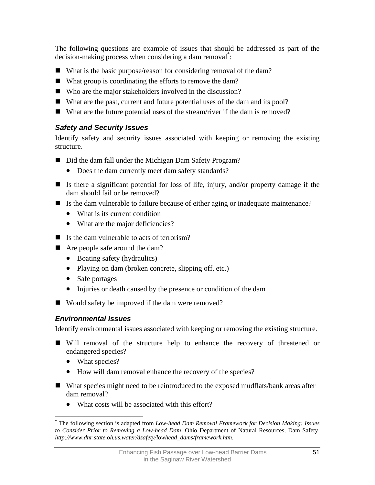The following questions are example of issues that should be addressed as part of the decision-making process when considering a dam removal<sup>\*</sup>[:](#page-54-0)

- What is the basic purpose/reason for considering removal of the dam?
- What group is coordinating the efforts to remove the dam?
- Who are the major stakeholders involved in the discussion?
- What are the past, current and future potential uses of the dam and its pool?
- What are the future potential uses of the stream/river if the dam is removed?

# *Safety and Security Issues*

Identify safety and security issues associated with keeping or removing the existing structure.

- Did the dam fall under the Michigan Dam Safety Program?
	- Does the dam currently meet dam safety standards?
- If Is there a significant potential for loss of life, injury, and/or property damage if the dam should fail or be removed?
- Is the dam vulnerable to failure because of either aging or inadequate maintenance?
	- What is its current condition
	- What are the major deficiencies?
- $\blacksquare$  Is the dam vulnerable to acts of terrorism?
- Are people safe around the dam?
	- Boating safety (hydraulics)
	- Playing on dam (broken concrete, slipping off, etc.)
	- Safe portages
	- Injuries or death caused by the presence or condition of the dam
- Would safety be improved if the dam were removed?

# *Environmental Issues*

Identify environmental issues associated with keeping or removing the existing structure.

- Will removal of the structure help to enhance the recovery of threatened or endangered species?
	- What species?
	- How will dam removal enhance the recovery of the species?
- What species might need to be reintroduced to the exposed mudflats/bank areas after dam removal?
	- What costs will be associated with this effort?

<span id="page-54-0"></span> $\overline{a}$ \* The following section is adapted from *Low-head Dam Removal Framework for Decision Making: Issues to Consider Prior to Removing a Low-head Dam*, Ohio Department of Natural Resources, Dam Safety, *http://www.dnr.state.oh.us.water/dsafety/lowhead\_dams/framework.htm*.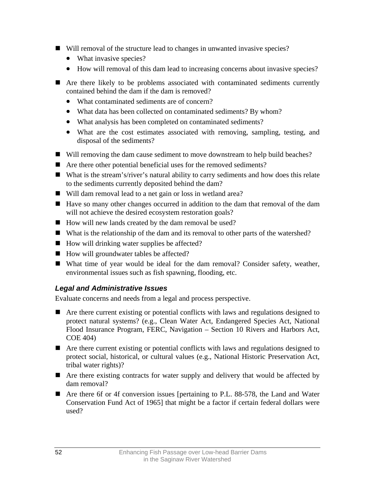- Will removal of the structure lead to changes in unwanted invasive species?
	- What invasive species?
	- How will removal of this dam lead to increasing concerns about invasive species?
- Are there likely to be problems associated with contaminated sediments currently contained behind the dam if the dam is removed?
	- What contaminated sediments are of concern?
	- What data has been collected on contaminated sediments? By whom?
	- What analysis has been completed on contaminated sediments?
	- What are the cost estimates associated with removing, sampling, testing, and disposal of the sediments?
- Will removing the dam cause sediment to move downstream to help build beaches?
- Are there other potential beneficial uses for the removed sediments?
- What is the stream's/river's natural ability to carry sediments and how does this relate to the sediments currently deposited behind the dam?
- Will dam removal lead to a net gain or loss in wetland area?
- Have so many other changes occurred in addition to the dam that removal of the dam will not achieve the desired ecosystem restoration goals?
- How will new lands created by the dam removal be used?
- What is the relationship of the dam and its removal to other parts of the watershed?
- $\blacksquare$  How will drinking water supplies be affected?
- How will groundwater tables be affected?
- What time of year would be ideal for the dam removal? Consider safety, weather, environmental issues such as fish spawning, flooding, etc.

# *Legal and Administrative Issues*

Evaluate concerns and needs from a legal and process perspective.

- Are there current existing or potential conflicts with laws and regulations designed to protect natural systems? (e.g., Clean Water Act, Endangered Species Act, National Flood Insurance Program, FERC, Navigation – Section 10 Rivers and Harbors Act, COE 404)
- Are there current existing or potential conflicts with laws and regulations designed to protect social, historical, or cultural values (e.g., National Historic Preservation Act, tribal water rights)?
- Are there existing contracts for water supply and delivery that would be affected by dam removal?
- Are there 6f or 4f conversion issues [pertaining to P.L. 88-578, the Land and Water Conservation Fund Act of 1965] that might be a factor if certain federal dollars were used?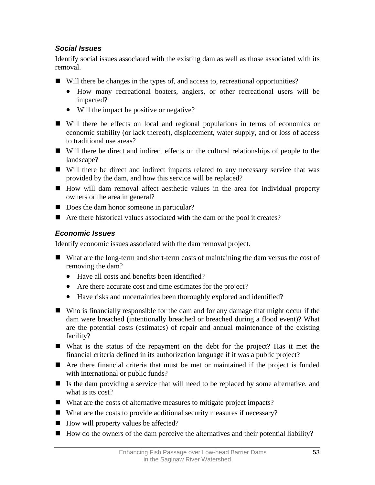# *Social Issues*

Identify social issues associated with the existing dam as well as those associated with its removal.

- Will there be changes in the types of, and access to, recreational opportunities?
	- How many recreational boaters, anglers, or other recreational users will be impacted?
	- Will the impact be positive or negative?
- Will there be effects on local and regional populations in terms of economics or economic stability (or lack thereof), displacement, water supply, and or loss of access to traditional use areas?
- Will there be direct and indirect effects on the cultural relationships of people to the landscape?
- Will there be direct and indirect impacts related to any necessary service that was provided by the dam, and how this service will be replaced?
- How will dam removal affect aesthetic values in the area for individual property owners or the area in general?
- Does the dam honor someone in particular?
- Are there historical values associated with the dam or the pool it creates?

# *Economic Issues*

Identify economic issues associated with the dam removal project.

- What are the long-term and short-term costs of maintaining the dam versus the cost of removing the dam?
	- Have all costs and benefits been identified?
	- Are there accurate cost and time estimates for the project?
	- Have risks and uncertainties been thoroughly explored and identified?
- Who is financially responsible for the dam and for any damage that might occur if the dam were breached (intentionally breached or breached during a flood event)? What are the potential costs (estimates) of repair and annual maintenance of the existing facility?
- What is the status of the repayment on the debt for the project? Has it met the financial criteria defined in its authorization language if it was a public project?
- Are there financial criteria that must be met or maintained if the project is funded with international or public funds?
- If Is the dam providing a service that will need to be replaced by some alternative, and what is its cost?
- What are the costs of alternative measures to mitigate project impacts?
- What are the costs to provide additional security measures if necessary?
- How will property values be affected?
- $\blacksquare$  How do the owners of the dam perceive the alternatives and their potential liability?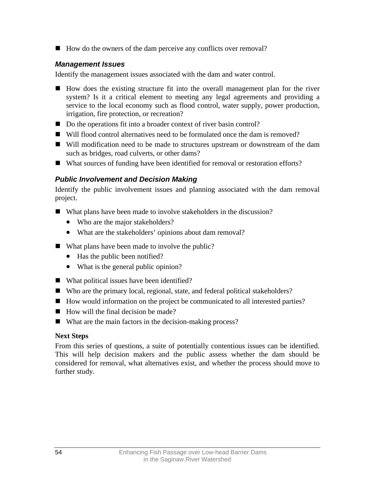■ How do the owners of the dam perceive any conflicts over removal?

### *Management Issues*

Identify the management issues associated with the dam and water control.

- How does the existing structure fit into the overall management plan for the river system? Is it a critical element to meeting any legal agreements and providing a service to the local economy such as flood control, water supply, power production, irrigation, fire protection, or recreation?
- Do the operations fit into a broader context of river basin control?
- Will flood control alternatives need to be formulated once the dam is removed?
- Will modification need to be made to structures upstream or downstream of the dam such as bridges, road culverts, or other dams?
- What sources of funding have been identified for removal or restoration efforts?

## *Public Involvement and Decision Making*

Identify the public involvement issues and planning associated with the dam removal project.

- What plans have been made to involve stakeholders in the discussion?
	- Who are the major stakeholders?
	- What are the stakeholders' opinions about dam removal?
- What plans have been made to involve the public?
	- Has the public been notified?
	- What is the general public opinion?
- What political issues have been identified?
- Who are the primary local, regional, state, and federal political stakeholders?
- How would information on the project be communicated to all interested parties?
- $\blacksquare$  How will the final decision be made?
- What are the main factors in the decision-making process?

### **Next Steps**

From this series of questions, a suite of potentially contentious issues can be identified. This will help decision makers and the public assess whether the dam should be considered for removal, what alternatives exist, and whether the process should move to further study.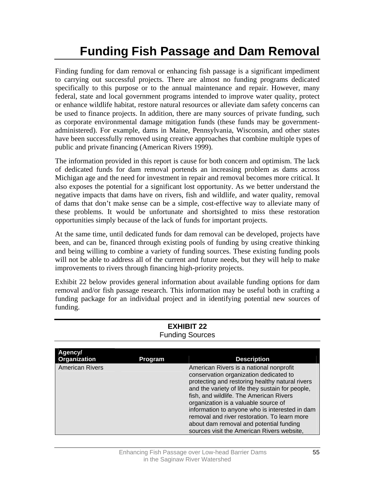# **Funding Fish Passage and Dam Removal**

Finding funding for dam removal or enhancing fish passage is a significant impediment to carrying out successful projects. There are almost no funding programs dedicated specifically to this purpose or to the annual maintenance and repair. However, many federal, state and local government programs intended to improve water quality, protect or enhance wildlife habitat, restore natural resources or alleviate dam safety concerns can be used to finance projects. In addition, there are many sources of private funding, such as corporate environmental damage mitigation funds (these funds may be governmentadministered). For example, dams in Maine, Pennsylvania, Wisconsin, and other states have been successfully removed using creative approaches that combine multiple types of public and private financing (American Rivers 1999).

The information provided in this report is cause for both concern and optimism. The lack of dedicated funds for dam removal portends an increasing problem as dams across Michigan age and the need for investment in repair and removal becomes more critical. It also exposes the potential for a significant lost opportunity. As we better understand the negative impacts that dams have on rivers, fish and wildlife, and water quality, removal of dams that don't make sense can be a simple, cost-effective way to alleviate many of these problems. It would be unfortunate and shortsighted to miss these restoration opportunities simply because of the lack of funds for important projects.

At the same time, until dedicated funds for dam removal can be developed, projects have been, and can be, financed through existing pools of funding by using creative thinking and being willing to combine a variety of funding sources. These existing funding pools will not be able to address all of the current and future needs, but they will help to make improvements to rivers through financing high-priority projects.

Exhibit 22 below provides general information about available funding options for dam removal and/or fish passage research. This information may be useful both in crafting a funding package for an individual project and in identifying potential new sources of funding.

| Agency/<br>Organization | <b>Program</b> | <b>Description</b>                                                                                                                                                                                                                                                                                                                                                                                                                                                     |
|-------------------------|----------------|------------------------------------------------------------------------------------------------------------------------------------------------------------------------------------------------------------------------------------------------------------------------------------------------------------------------------------------------------------------------------------------------------------------------------------------------------------------------|
| <b>American Rivers</b>  |                | American Rivers is a national nonprofit<br>conservation organization dedicated to<br>protecting and restoring healthy natural rivers<br>and the variety of life they sustain for people,<br>fish, and wildlife. The American Rivers<br>organization is a valuable source of<br>information to anyone who is interested in dam<br>removal and river restoration. To learn more<br>about dam removal and potential funding<br>sources visit the American Rivers website, |

#### **EXHIBIT 22**  Funding Sources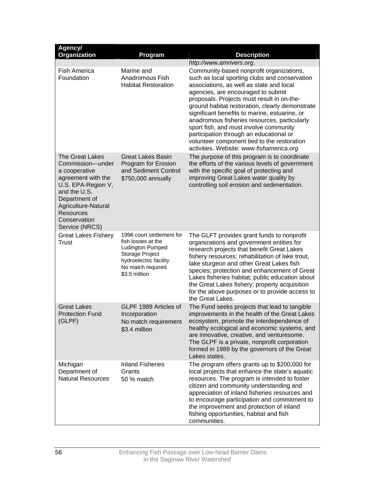| Agency/<br>Organization                                                                                                                                                                                               | Program                                                                                                                                                | <b>Description</b>                                                                                                                                                                                                                                                                                                                                                                                                                                                                                                                                            |
|-----------------------------------------------------------------------------------------------------------------------------------------------------------------------------------------------------------------------|--------------------------------------------------------------------------------------------------------------------------------------------------------|---------------------------------------------------------------------------------------------------------------------------------------------------------------------------------------------------------------------------------------------------------------------------------------------------------------------------------------------------------------------------------------------------------------------------------------------------------------------------------------------------------------------------------------------------------------|
|                                                                                                                                                                                                                       |                                                                                                                                                        | http://www.amrivers.org.                                                                                                                                                                                                                                                                                                                                                                                                                                                                                                                                      |
| Fish America<br>Foundation                                                                                                                                                                                            | Marine and<br>Anadromous Fish<br><b>Habitat Restoration</b>                                                                                            | Community-based nonprofit organizations,<br>such as local sporting clubs and conservation<br>associations, as well as state and local<br>agencies, are encouraged to submit<br>proposals. Projects must result in on-the-<br>ground habitat restoration, clearly demonstrate<br>significant benefits to marine, estuarine, or<br>anadromous fisheries resources, particularly<br>sport fish, and must involve community<br>participation through an educational or<br>volunteer component tied to the restoration<br>activities. Website: www.fishamerica.org |
| <b>The Great Lakes</b><br>Commission-under<br>a cooperative<br>agreement with the<br>U.S. EPA-Region V,<br>and the U.S.<br>Department of<br>Agriculture-Natural<br><b>Resources</b><br>Conservation<br>Service (NRCS) | <b>Great Lakes Basin</b><br>Program for Erosion<br>and Sediment Control<br>\$750,000 annually                                                          | The purpose of this program is to coordinate<br>the efforts of the various levels of government<br>with the specific goal of protecting and<br>improving Great Lakes water quality by<br>controlling soil erosion and sedimentation.                                                                                                                                                                                                                                                                                                                          |
| <b>Great Lakes Fishery</b><br><b>Trust</b>                                                                                                                                                                            | 1996 court settlement for<br>fish losses at the<br>Ludington Pumped<br>Storage Project<br>hydroelectric facility<br>No match required<br>\$3.5 million | The GLFT provides grant funds to nonprofit<br>organizations and government entities for<br>research projects that benefit Great Lakes<br>fishery resources; rehabilitation of lake trout,<br>lake sturgeon and other Great Lakes fish<br>species; protection and enhancement of Great<br>Lakes fisheries habitat; public education about<br>the Great Lakes fishery; property acquisition<br>for the above purposes or to provide access to<br>the Great Lakes.                                                                                               |
| <b>Great Lakes</b><br><b>Protection Fund</b><br>(GLPF)                                                                                                                                                                | GLPF 1989 Articles of<br>Incorporation<br>No match requirement<br>\$3.4 million                                                                        | The Fund seeks projects that lead to tangible<br>improvements in the health of the Great Lakes<br>ecosystem, promote the interdependence of<br>healthy ecological and economic systems, and<br>are innovative, creative, and venturesome.<br>The GLPF is a private, nonprofit corporation<br>formed in 1989 by the governors of the Great<br>Lakes states.                                                                                                                                                                                                    |
| Michigan<br>Department of<br><b>Natural Resources</b>                                                                                                                                                                 | <b>Inland Fisheries</b><br>Grants<br>50 % match                                                                                                        | The program offers grants up to \$200,000 for<br>local projects that enhance the state's aquatic<br>resources. The program is intended to foster<br>citizen and community understanding and<br>appreciation of inland fisheries resources and<br>to encourage participation and commitment to<br>the improvement and protection of inland<br>fishing opportunities, habitat and fish<br>communities.                                                                                                                                                          |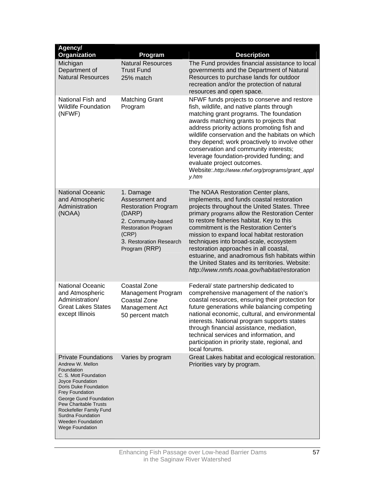| Agency/<br>Organization                                                                                                                                                                                                                                                                                                      | Program                                                                                                                                                                      | <b>Description</b>                                                                                                                                                                                                                                                                                                                                                                                                                                                                                                                                              |
|------------------------------------------------------------------------------------------------------------------------------------------------------------------------------------------------------------------------------------------------------------------------------------------------------------------------------|------------------------------------------------------------------------------------------------------------------------------------------------------------------------------|-----------------------------------------------------------------------------------------------------------------------------------------------------------------------------------------------------------------------------------------------------------------------------------------------------------------------------------------------------------------------------------------------------------------------------------------------------------------------------------------------------------------------------------------------------------------|
| Michigan<br>Department of<br><b>Natural Resources</b>                                                                                                                                                                                                                                                                        | <b>Natural Resources</b><br><b>Trust Fund</b><br>25% match                                                                                                                   | The Fund provides financial assistance to local<br>governments and the Department of Natural<br>Resources to purchase lands for outdoor<br>recreation and/or the protection of natural<br>resources and open space.                                                                                                                                                                                                                                                                                                                                             |
| National Fish and<br><b>Wildlife Foundation</b><br>(NFWF)                                                                                                                                                                                                                                                                    | <b>Matching Grant</b><br>Program                                                                                                                                             | NFWF funds projects to conserve and restore<br>fish, wildlife, and native plants through<br>matching grant programs. The foundation<br>awards matching grants to projects that<br>address priority actions promoting fish and<br>wildlife conservation and the habitats on which<br>they depend; work proactively to involve other<br>conservation and community interests;<br>leverage foundation-provided funding; and<br>evaluate project outcomes.<br>Website:.http://www.nfwf.org/programs/grant_appl<br>y.htm                                             |
| <b>National Oceanic</b><br>and Atmospheric<br>Administration<br>(NOAA)                                                                                                                                                                                                                                                       | 1. Damage<br>Assessment and<br><b>Restoration Program</b><br>(DARP)<br>2. Community-based<br><b>Restoration Program</b><br>(CRP)<br>3. Restoration Research<br>Program (RRP) | The NOAA Restoration Center plans,<br>implements, and funds coastal restoration<br>projects throughout the United States. Three<br>primary programs allow the Restoration Center<br>to restore fisheries habitat. Key to this<br>commitment is the Restoration Center's<br>mission to expand local habitat restoration<br>techniques into broad-scale, ecosystem<br>restoration approaches in all coastal,<br>estuarine, and anadromous fish habitats within<br>the United States and its territories. Website:<br>http://www.nmfs.noaa.gov/habitat/restoration |
| <b>National Oceanic</b><br>and Atmospheric<br>Administration/<br><b>Great Lakes States</b><br>except Illinois                                                                                                                                                                                                                | <b>Coastal Zone</b><br>Management Program<br>Coastal Zone<br>Management Act<br>50 percent match                                                                              | Federal/ state partnership dedicated to<br>comprehensive management of the nation's<br>coastal resources, ensuring their protection for<br>future generations while balancing competing<br>national economic, cultural, and environmental<br>interests. National program supports states<br>through financial assistance, mediation,<br>technical services and information, and<br>participation in priority state, regional, and<br>local forums.                                                                                                              |
| <b>Private Foundations</b><br>Andrew W. Mellon<br>Foundation<br>C. S. Mott Foundation<br>Joyce Foundation<br>Doris Duke Foundation<br><b>Frey Foundation</b><br>George Gund Foundation<br><b>Pew Charitable Trusts</b><br>Rockefeller Family Fund<br>Surdna Foundation<br><b>Weeden Foundation</b><br><b>Wege Foundation</b> | Varies by program                                                                                                                                                            | Great Lakes habitat and ecological restoration.<br>Priorities vary by program.                                                                                                                                                                                                                                                                                                                                                                                                                                                                                  |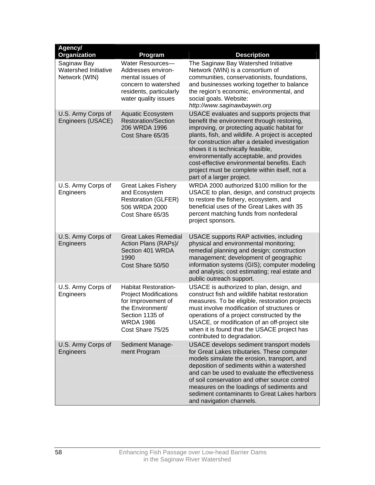| Agency/<br>Organization                              | Program                                                                                                                                                          | <b>Description</b>                                                                                                                                                                                                                                                                                                                                                                                                                                             |
|------------------------------------------------------|------------------------------------------------------------------------------------------------------------------------------------------------------------------|----------------------------------------------------------------------------------------------------------------------------------------------------------------------------------------------------------------------------------------------------------------------------------------------------------------------------------------------------------------------------------------------------------------------------------------------------------------|
| Saginaw Bay<br>Watershed Initiative<br>Network (WIN) | Water Resources-<br>Addresses environ-<br>mental issues of<br>concern to watershed<br>residents, particularly<br>water quality issues                            | The Saginaw Bay Watershed Initiative<br>Network (WIN) is a consortium of<br>communities, conservationists, foundations,<br>and businesses working together to balance<br>the region's economic, environmental, and<br>social goals. Website:<br>http://www.saginawbaywin.org                                                                                                                                                                                   |
| U.S. Army Corps of<br>Engineers (USACE)              | <b>Aquatic Ecosystem</b><br><b>Restoration/Section</b><br>206 WRDA 1996<br>Cost Share 65/35                                                                      | USACE evaluates and supports projects that<br>benefit the environment through restoring,<br>improving, or protecting aquatic habitat for<br>plants, fish, and wildlife. A project is accepted<br>for construction after a detailed investigation<br>shows it is technically feasible,<br>environmentally acceptable, and provides<br>cost-effective environmental benefits. Each<br>project must be complete within itself, not a<br>part of a larger project. |
| U.S. Army Corps of<br>Engineers                      | <b>Great Lakes Fishery</b><br>and Ecosystem<br><b>Restoration (GLFER)</b><br>506 WRDA 2000<br>Cost Share 65/35                                                   | WRDA 2000 authorized \$100 million for the<br>USACE to plan, design, and construct projects<br>to restore the fishery, ecosystem, and<br>beneficial uses of the Great Lakes with 35<br>percent matching funds from nonfederal<br>project sponsors.                                                                                                                                                                                                             |
| U.S. Army Corps of<br>Engineers                      | <b>Great Lakes Remedial</b><br>Action Plans (RAPs)/<br>Section 401 WRDA<br>1990<br>Cost Share 50/50                                                              | USACE supports RAP activities, including<br>physical and environmental monitoring;<br>remedial planning and design; construction<br>management; development of geographic<br>information systems (GIS); computer modeling<br>and analysis; cost estimating; real estate and<br>public outreach support.                                                                                                                                                        |
| U.S. Army Corps of<br>Engineers                      | <b>Habitat Restoration-</b><br><b>Project Modifications</b><br>for Improvement of<br>the Environment/<br>Section 1135 of<br><b>WRDA 1986</b><br>Cost Share 75/25 | USACE is authorized to plan, design, and<br>construct fish and wildlife habitat restoration<br>measures. To be eligible, restoration projects<br>must involve modification of structures or<br>operations of a project constructed by the<br>USACE, or modification of an off-project site<br>when it is found that the USACE project has<br>contributed to degradation.                                                                                       |
| U.S. Army Corps of<br>Engineers                      | Sediment Manage-<br>ment Program                                                                                                                                 | USACE develops sediment transport models<br>for Great Lakes tributaries. These computer<br>models simulate the erosion, transport, and<br>deposition of sediments within a watershed<br>and can be used to evaluate the effectiveness<br>of soil conservation and other source control<br>measures on the loadings of sediments and<br>sediment contaminants to Great Lakes harbors<br>and navigation channels.                                                |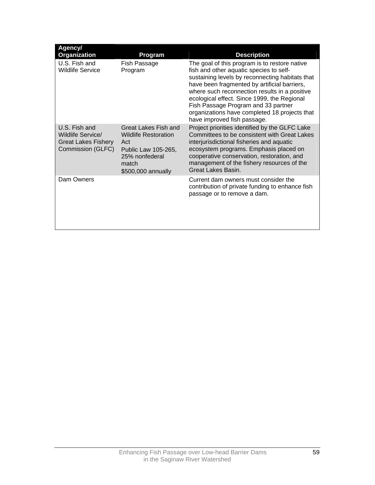| Agency/<br>Organization                                                               | Program                                                                                                                            | <b>Description</b>                                                                                                                                                                                                                                                                                                                                                                                                 |
|---------------------------------------------------------------------------------------|------------------------------------------------------------------------------------------------------------------------------------|--------------------------------------------------------------------------------------------------------------------------------------------------------------------------------------------------------------------------------------------------------------------------------------------------------------------------------------------------------------------------------------------------------------------|
| U.S. Fish and<br><b>Wildlife Service</b>                                              | Fish Passage<br>Program                                                                                                            | The goal of this program is to restore native<br>fish and other aquatic species to self-<br>sustaining levels by reconnecting habitats that<br>have been fragmented by artificial barriers,<br>where such reconnection results in a positive<br>ecological effect. Since 1999, the Regional<br>Fish Passage Program and 33 partner<br>organizations have completed 18 projects that<br>have improved fish passage. |
| U.S. Fish and<br>Wildlife Service/<br><b>Great Lakes Fishery</b><br>Commission (GLFC) | Great Lakes Fish and<br><b>Wildlife Restoration</b><br>Act<br>Public Law 105-265,<br>25% nonfederal<br>match<br>\$500,000 annually | Project priorities identified by the GLFC Lake<br>Committees to be consistent with Great Lakes<br>interjurisdictional fisheries and aquatic<br>ecosystem programs. Emphasis placed on<br>cooperative conservation, restoration, and<br>management of the fishery resources of the<br>Great Lakes Basin.                                                                                                            |
| Dam Owners                                                                            |                                                                                                                                    | Current dam owners must consider the<br>contribution of private funding to enhance fish<br>passage or to remove a dam.                                                                                                                                                                                                                                                                                             |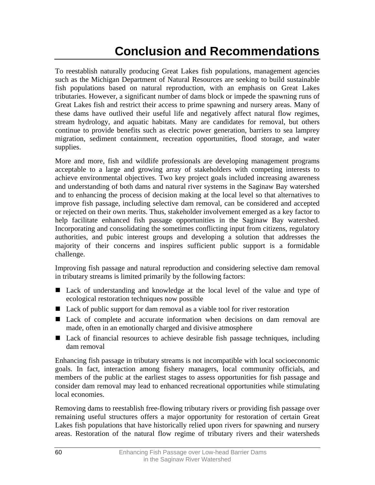# **Conclusion and Recommendations**

To reestablish naturally producing Great Lakes fish populations, management agencies such as the Michigan Department of Natural Resources are seeking to build sustainable fish populations based on natural reproduction, with an emphasis on Great Lakes tributaries. However, a significant number of dams block or impede the spawning runs of Great Lakes fish and restrict their access to prime spawning and nursery areas. Many of these dams have outlived their useful life and negatively affect natural flow regimes, stream hydrology, and aquatic habitats. Many are candidates for removal, but others continue to provide benefits such as electric power generation, barriers to sea lamprey migration, sediment containment, recreation opportunities, flood storage, and water supplies.

More and more, fish and wildlife professionals are developing management programs acceptable to a large and growing array of stakeholders with competing interests to achieve environmental objectives. Two key project goals included increasing awareness and understanding of both dams and natural river systems in the Saginaw Bay watershed and to enhancing the process of decision making at the local level so that alternatives to improve fish passage, including selective dam removal, can be considered and accepted or rejected on their own merits. Thus, stakeholder involvement emerged as a key factor to help facilitate enhanced fish passage opportunities in the Saginaw Bay watershed. Incorporating and consolidating the sometimes conflicting input from citizens, regulatory authorities, and pubic interest groups and developing a solution that addresses the majority of their concerns and inspires sufficient public support is a formidable challenge.

Improving fish passage and natural reproduction and considering selective dam removal in tributary streams is limited primarily by the following factors:

- Lack of understanding and knowledge at the local level of the value and type of ecological restoration techniques now possible
- Lack of public support for dam removal as a viable tool for river restoration
- Lack of complete and accurate information when decisions on dam removal are made, often in an emotionally charged and divisive atmosphere
- Lack of financial resources to achieve desirable fish passage techniques, including dam removal

Enhancing fish passage in tributary streams is not incompatible with local socioeconomic goals. In fact, interaction among fishery managers, local community officials, and members of the public at the earliest stages to assess opportunities for fish passage and consider dam removal may lead to enhanced recreational opportunities while stimulating local economies.

Removing dams to reestablish free-flowing tributary rivers or providing fish passage over remaining useful structures offers a major opportunity for restoration of certain Great Lakes fish populations that have historically relied upon rivers for spawning and nursery areas. Restoration of the natural flow regime of tributary rivers and their watersheds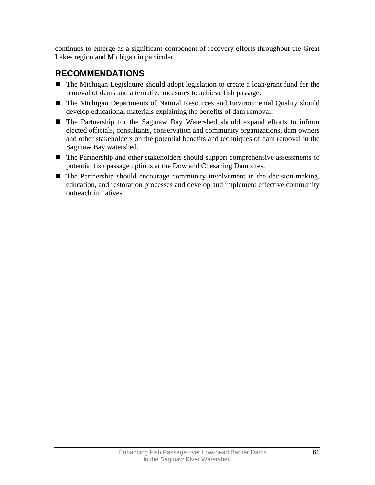continues to emerge as a significant component of recovery efforts throughout the Great Lakes region and Michigan in particular.

# **RECOMMENDATIONS**

- The Michigan Legislature should adopt legislation to create a loan/grant fund for the removal of dams and alternative measures to achieve fish passage.
- The Michigan Departments of Natural Resources and Environmental Quality should develop educational materials explaining the benefits of dam removal.
- The Partnership for the Saginaw Bay Watershed should expand efforts to inform elected officials, consultants, conservation and community organizations, dam owners and other stakeholders on the potential benefits and techniques of dam removal in the Saginaw Bay watershed.
- The Partnership and other stakeholders should support comprehensive assessments of potential fish passage options at the Dow and Chesaning Dam sites.
- The Partnership should encourage community involvement in the decision-making, education, and restoration processes and develop and implement effective community outreach initiatives.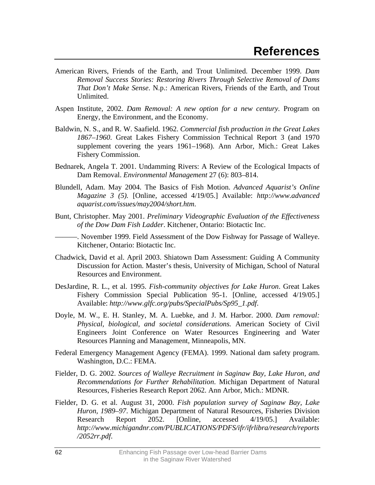- American Rivers, Friends of the Earth, and Trout Unlimited. December 1999. *Dam Removal Success Stories: Restoring Rivers Through Selective Removal of Dams That Don't Make Sense*. N.p.: American Rivers, Friends of the Earth, and Trout Unlimited.
- Aspen Institute, 2002. *Dam Removal: A new option for a new century.* Program on Energy, the Environment, and the Economy.
- Baldwin, N. S., and R. W. Saafield. 1962. *Commercial fish production in the Great Lakes 1867–1960*. Great Lakes Fishery Commission Technical Report 3 (and 1970 supplement covering the years 1961–1968). Ann Arbor, Mich.: Great Lakes Fishery Commission.
- Bednarek, Angela T. 2001. Undamming Rivers: A Review of the Ecological Impacts of Dam Removal. *Environmental Management* 27 (6): 803–814.
- Blundell, Adam. May 2004. The Basics of Fish Motion. *Advanced Aquarist's Online Magazine 3 (5).* [Online, accessed 4/19/05.] Available: *http://www.advanced aquarist.com/issues/may2004/short.htm*.
- Bunt, Christopher. May 2001. *Preliminary Videographic Evaluation of the Effectiveness of the Dow Dam Fish Ladder*. Kitchener, Ontario: Biotactic Inc.

———. November 1999. Field Assessment of the Dow Fishway for Passage of Walleye. Kitchener, Ontario: Biotactic Inc.

- Chadwick, David et al. April 2003. Shiatown Dam Assessment: Guiding A Community Discussion for Action. Master's thesis, University of Michigan, School of Natural Resources and Environment.
- DesJardine, R. L., et al. 1995. *Fish-community objectives for Lake Huron*. Great Lakes Fishery Commission Special Publication 95-1. [Online, accessed 4/19/05.] Available: *http://www.glfc.org/pubs/SpecialPubs/Sp95\_1.pdf*.
- Doyle, M. W., E. H. Stanley, M. A. Luebke, and J. M. Harbor. 2000. *Dam removal: Physical, biological, and societal considerations.* American Society of Civil Engineers Joint Conference on Water Resources Engineering and Water Resources Planning and Management, Minneapolis, MN.
- Federal Emergency Management Agency (FEMA). 1999. National dam safety program. Washington, D.C.: FEMA.
- Fielder, D. G. 2002. *Sources of Walleye Recruitment in Saginaw Bay, Lake Huron, and Recommendations for Further Rehabilitation*. Michigan Department of Natural Resources, Fisheries Research Report 2062. Ann Arbor, Mich.: MDNR.
- Fielder, D. G. et al. August 31, 2000. *Fish population survey of Saginaw Bay, Lake Huron, 1989–97*. Michigan Department of Natural Resources, Fisheries Division Research Report 2052. [Online, accessed 4/19/05.] Available: *http://www.michigandnr.com/PUBLICATIONS/PDFS/ifr/ifrlibra/research/reports /2052rr.pdf*.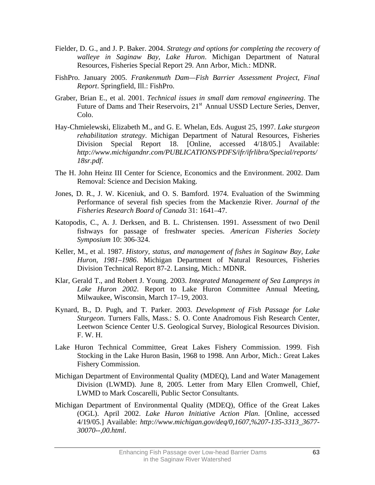- Fielder, D. G., and J. P. Baker. 2004. *Strategy and options for completing the recovery of walleye in Saginaw Bay, Lake Huron*. Michigan Department of Natural Resources, Fisheries Special Report 29. Ann Arbor, Mich.: MDNR.
- FishPro. January 2005. *Frankenmuth Dam—Fish Barrier Assessment Project, Final Report*. Springfield, Ill.: FishPro.
- Graber, Brian E., et al. 2001. *Technical issues in small dam removal engineering*. The Future of Dams and Their Reservoirs, 21<sup>st</sup> Annual USSD Lecture Series, Denver, Colo.
- Hay-Chmielewski, Elizabeth M., and G. E. Whelan, Eds. August 25, 1997. *Lake sturgeon rehabilitation strategy*. Michigan Department of Natural Resources, Fisheries Division Special Report 18. [Online, accessed 4/18/05.] Available: *http://www.michigandnr.com/PUBLICATIONS/PDFS/ifr/ifrlibra/Special/reports/ 18sr.pdf*.
- The H. John Heinz III Center for Science, Economics and the Environment. 2002. Dam Removal: Science and Decision Making.
- Jones, D. R., J. W. Kiceniuk, and O. S. Bamford. 1974. Evaluation of the Swimming Performance of several fish species from the Mackenzie River. *Journal of the Fisheries Research Board of Canada* 31: 1641–47.
- Katopodis, C., A. J. Derksen, and B. L. Christensen. 1991. Assessment of two Denil fishways for passage of freshwater species. *American Fisheries Society Symposium* 10: 306-324.
- Keller, M., et al. 1987. *History, status, and management of fishes in Saginaw Bay, Lake Huron, 1981–1986*. Michigan Department of Natural Resources, Fisheries Division Technical Report 87-2. Lansing, Mich.: MDNR.
- Klar, Gerald T., and Robert J. Young. 2003. *Integrated Management of Sea Lampreys in Lake Huron 2002*. Report to Lake Huron Committee Annual Meeting, Milwaukee, Wisconsin, March 17–19, 2003.
- Kynard, B., D. Pugh, and T. Parker. 2003. *Development of Fish Passage for Lake Sturgeon*. Turners Falls, Mass.: S. O. Conte Anadromous Fish Research Center, Leetwon Science Center U.S. Geological Survey, Biological Resources Division. F. W. H.
- Lake Huron Technical Committee, Great Lakes Fishery Commission. 1999. Fish Stocking in the Lake Huron Basin, 1968 to 1998. Ann Arbor, Mich.: Great Lakes Fishery Commission.
- Michigan Department of Environmental Quality (MDEQ), Land and Water Management Division (LWMD). June 8, 2005. Letter from Mary Ellen Cromwell, Chief, LWMD to Mark Coscarelli, Public Sector Consultants.
- Michigan Department of Environmental Quality (MDEQ), Office of the Great Lakes (OGL). April 2002. *Lake Huron Initiative Action Plan*. [Online, accessed 4/19/05.] Available: *http://www.michigan.gov/deq/0,1607,%207-135-3313\_3677- 30070--,00.html*.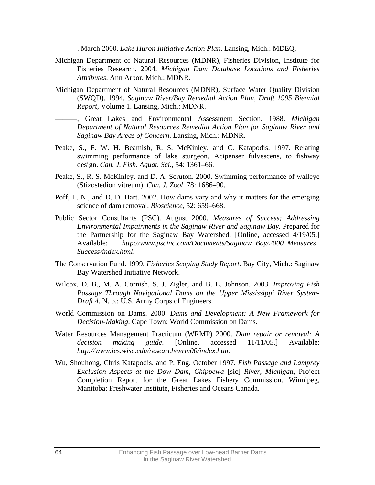———. March 2000. *Lake Huron Initiative Action Plan*. Lansing, Mich.: MDEQ.

- Michigan Department of Natural Resources (MDNR), Fisheries Division, Institute for Fisheries Research. 2004. *Michigan Dam Database Locations and Fisheries Attributes*. Ann Arbor, Mich.: MDNR.
- Michigan Department of Natural Resources (MDNR), Surface Water Quality Division (SWQD). 1994*. Saginaw River/Bay Remedial Action Plan, Draft 1995 Biennial Report*, Volume 1. Lansing, Mich.: MDNR.
	- ———, Great Lakes and Environmental Assessment Section. 1988. *Michigan Department of Natural Resources Remedial Action Plan for Saginaw River and Saginaw Bay Areas of Concern*. Lansing, Mich.: MDNR.
- Peake, S., F. W. H. Beamish, R. S. McKinley, and C. Katapodis. 1997. Relating swimming performance of lake sturgeon, Acipenser fulvescens, to fishway design. *Can. J. Fish. Aquat. Sci*., 54: 1361–66.
- Peake, S., R. S. McKinley, and D. A. Scruton. 2000. Swimming performance of walleye (Stizostedion vitreum). *Can. J. Zool*. 78: 1686–90.
- Poff, L. N., and D. D. Hart. 2002. How dams vary and why it matters for the emerging science of dam removal. *Bioscience*, 52: 659–668.
- Public Sector Consultants (PSC). August 2000. *Measures of Success; Addressing Environmental Impairments in the Saginaw River and Saginaw Bay*. Prepared for the Partnership for the Saginaw Bay Watershed. [Online, accessed 4/19/05.] Available: *http://www.pscinc.com/Documents/Saginaw\_Bay/2000\_Measures\_ Success/index.html*.
- The Conservation Fund. 1999. *Fisheries Scoping Study Report*. Bay City, Mich.: Saginaw Bay Watershed Initiative Network.
- Wilcox, D. B., M. A. Cornish, S. J. Zigler, and B. L. Johnson. 2003. *Improving Fish Passage Through Navigational Dams on the Upper Mississippi River System-Draft 4*. N. p.: U.S. Army Corps of Engineers.
- World Commission on Dams. 2000. *Dams and Development: A New Framework for Decision-Making*. Cape Town: World Commission on Dams.
- Water Resources Management Practicum (WRMP) 2000. *Dam repair or removal: A decision making guide*. [Online, accessed 11/11/05.] Available: *http://www.ies.wisc.edu/research/wrm00/index.htm*.
- Wu, Shouhong, Chris Katapodis, and P. Eng. October 1997. *Fish Passage and Lamprey Exclusion Aspects at the Dow Dam, Chippewa* [sic] *River, Michiga*n, Project Completion Report for the Great Lakes Fishery Commission. Winnipeg, Manitoba: Freshwater Institute, Fisheries and Oceans Canada.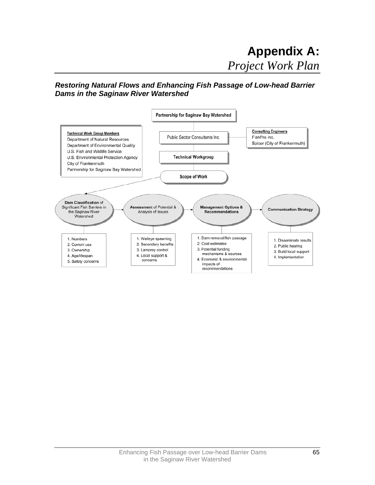### *Restoring Natural Flows and Enhancing Fish Passage of Low-head Barrier Dams in the Saginaw River Watershed*

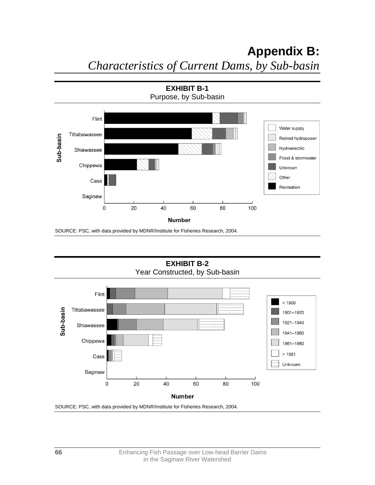

SOURCE: PSC, with data provided by MDNR/Institute for Fisheries Research, 2004.

**EXHIBIT B-2**  Year Constructed, by Sub-basin



SOURCE: PSC, with data provided by MDNR/Institute for Fisheries Research, 2004.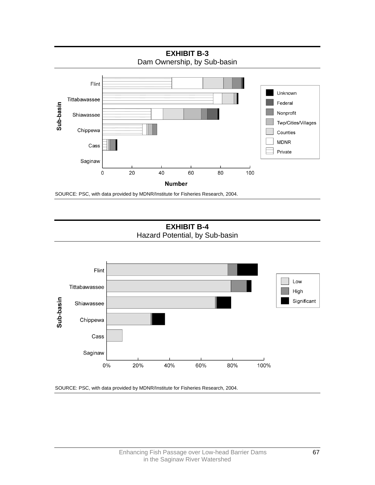

SOURCE: PSC, with data provided by MDNR/Institute for Fisheries Research, 2004.

**EXHIBIT B-4**  Hazard Potential, by Sub-basin



SOURCE: PSC, with data provided by MDNR/Institute for Fisheries Research, 2004.